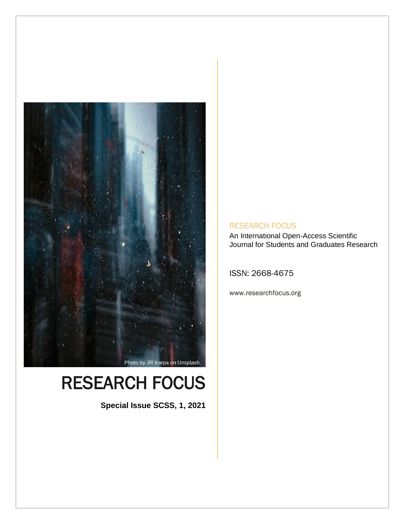

# RESEARCH FOCUS

**Special Issue SCSS, 1, 2021**

#### RESEARCH FOCUS

An International Open-Access Scientific Journal for Students and Graduates Research

ISSN: 2668-4675

www.researchfocus.org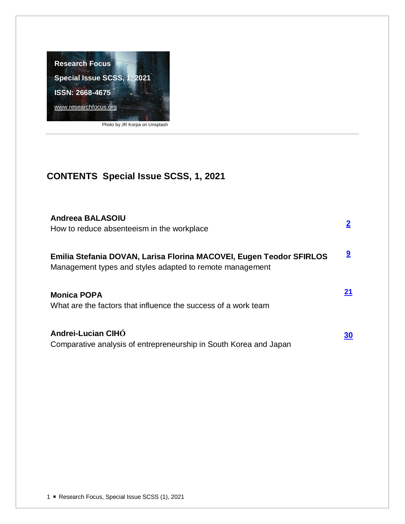

# **CONTENTS Special Issue SCSS, 1, 2021**

| <b>Andreea BALASOIU</b><br>How to reduce absenteeism in the workplace                                                           |                         |
|---------------------------------------------------------------------------------------------------------------------------------|-------------------------|
| Emilia Stefania DOVAN, Larisa Florina MACOVEI, Eugen Teodor SFIRLOS<br>Management types and styles adapted to remote management | $\overline{\mathbf{a}}$ |
| <b>Monica POPA</b><br>What are the factors that influence the success of a work team                                            | 21                      |
| Andrei-Lucian CIHO<br>Comparative analysis of entrepreneurship in South Korea and Japan                                         | 30                      |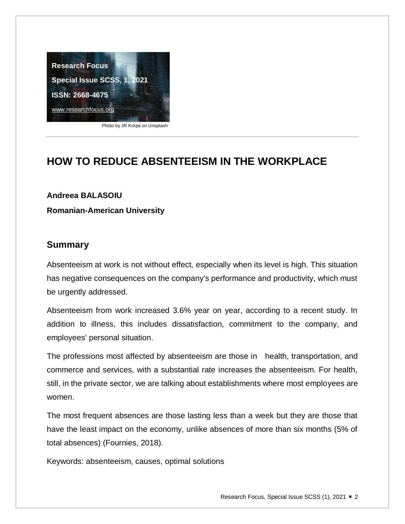

Photo by JR Korpa on Unsplash

# <span id="page-2-0"></span>**HOW TO REDUCE ABSENTEEISM IN THE WORKPLACE**

#### **Andreea BALASOIU**

**Romanian-American University**

## **Summary**

Absenteeism at work is not without effect, especially when its level is high. This situation has negative consequences on the company's performance and productivity, which must be urgently addressed.

Absenteeism from work increased 3.6% year on year, according to a recent study. In addition to illness, this includes dissatisfaction, commitment to the company, and employees' personal situation.

The professions most affected by absenteeism are those in health, transportation, and commerce and services, with a substantial rate increases the absenteeism. For health, still, in the private sector, we are talking about establishments where most employees are women.

The most frequent absences are those lasting less than a week but they are those that have the least impact on the economy, unlike absences of more than six months (5% of total absences) (Fournies, 2018).

Keywords: absenteeism, causes, optimal solutions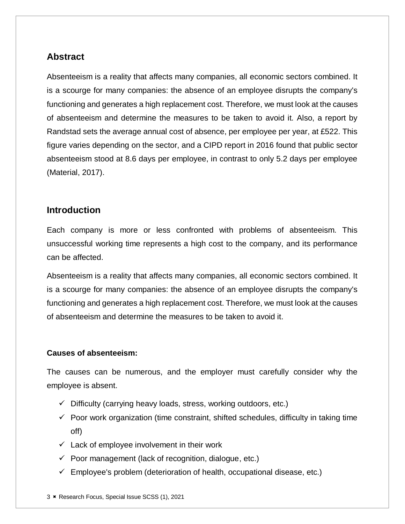## **Abstract**

Absenteeism is a reality that affects many companies, all economic sectors combined. It is a scourge for many companies: the absence of an employee disrupts the company's functioning and generates a high replacement cost. Therefore, we must look at the causes of absenteeism and determine the measures to be taken to avoid it. Also, a report by Randstad sets the average annual cost of absence, per employee per year, at £522. This figure varies depending on the sector, and a CIPD report in 2016 found that public sector absenteeism stood at 8.6 days per employee, in contrast to only 5.2 days per employee (Material, 2017).

## **Introduction**

Each company is more or less confronted with problems of absenteeism. This unsuccessful working time represents a high cost to the company, and its performance can be affected.

Absenteeism is a reality that affects many companies, all economic sectors combined. It is a scourge for many companies: the absence of an employee disrupts the company's functioning and generates a high replacement cost. Therefore, we must look at the causes of absenteeism and determine the measures to be taken to avoid it.

## **Causes of absenteeism:**

The causes can be numerous, and the employer must carefully consider why the employee is absent.

- $\checkmark$  Difficulty (carrying heavy loads, stress, working outdoors, etc.)
- $\checkmark$  Poor work organization (time constraint, shifted schedules, difficulty in taking time off)
- $\checkmark$  Lack of employee involvement in their work
- $\checkmark$  Poor management (lack of recognition, dialogue, etc.)
- $\checkmark$  Employee's problem (deterioration of health, occupational disease, etc.)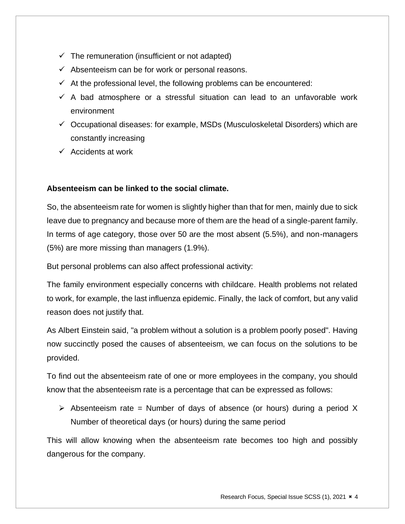- $\checkmark$  The remuneration (insufficient or not adapted)
- $\checkmark$  Absenteeism can be for work or personal reasons.
- $\checkmark$  At the professional level, the following problems can be encountered:
- $\checkmark$  A bad atmosphere or a stressful situation can lead to an unfavorable work environment
- $\checkmark$  Occupational diseases: for example, MSDs (Musculoskeletal Disorders) which are constantly increasing
- $\checkmark$  Accidents at work

#### **Absenteeism can be linked to the social climate.**

So, the absenteeism rate for women is slightly higher than that for men, mainly due to sick leave due to pregnancy and because more of them are the head of a single-parent family. In terms of age category, those over 50 are the most absent (5.5%), and non-managers (5%) are more missing than managers (1.9%).

But personal problems can also affect professional activity:

The family environment especially concerns with childcare. Health problems not related to work, for example, the last influenza epidemic. Finally, the lack of comfort, but any valid reason does not justify that.

As Albert Einstein said, "a problem without a solution is a problem poorly posed". Having now succinctly posed the causes of absenteeism, we can focus on the solutions to be provided.

To find out the absenteeism rate of one or more employees in the company, you should know that the absenteeism rate is a percentage that can be expressed as follows:

 $\triangleright$  Absenteeism rate = Number of days of absence (or hours) during a period X Number of theoretical days (or hours) during the same period

This will allow knowing when the absenteeism rate becomes too high and possibly dangerous for the company.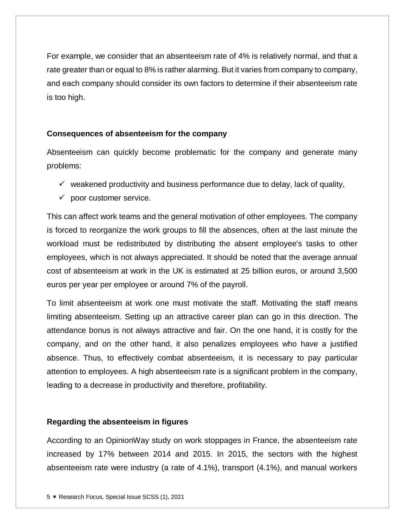For example, we consider that an absenteeism rate of 4% is relatively normal, and that a rate greater than or equal to 8% is rather alarming. But it varies from company to company, and each company should consider its own factors to determine if their absenteeism rate is too high.

#### **Consequences of absenteeism for the company**

Absenteeism can quickly become problematic for the company and generate many problems:

- $\checkmark$  weakened productivity and business performance due to delay, lack of quality,
- $\checkmark$  poor customer service.

This can affect work teams and the general motivation of other employees. The company is forced to reorganize the work groups to fill the absences, often at the last minute the workload must be redistributed by distributing the absent employee's tasks to other employees, which is not always appreciated. It should be noted that the average annual cost of absenteeism at work in the UK is estimated at 25 billion euros, or around 3,500 euros per year per employee or around 7% of the payroll.

To limit absenteeism at work one must motivate the staff. Motivating the staff means limiting absenteeism. Setting up an attractive career plan can go in this direction. The attendance bonus is not always attractive and fair. On the one hand, it is costly for the company, and on the other hand, it also penalizes employees who have a justified absence. Thus, to effectively combat absenteeism, it is necessary to pay particular attention to employees. A high absenteeism rate is a significant problem in the company, leading to a decrease in productivity and therefore, profitability.

#### **Regarding the absenteeism in figures**

According to an OpinionWay study on work stoppages in France, the absenteeism rate increased by 17% between 2014 and 2015. In 2015, the sectors with the highest absenteeism rate were industry (a rate of 4.1%), transport (4.1%), and manual workers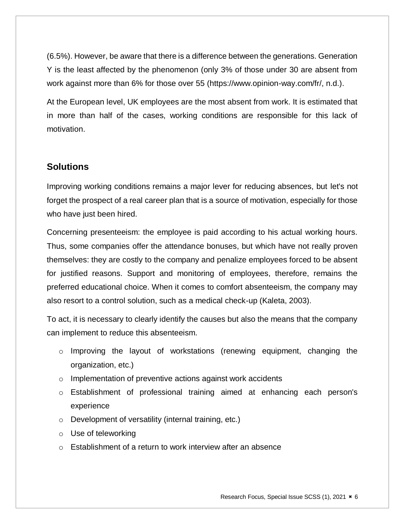(6.5%). However, be aware that there is a difference between the generations. Generation Y is the least affected by the phenomenon (only 3% of those under 30 are absent from work against more than 6% for those over 55 (https://www.opinion-way.com/fr/, n.d.).

At the European level, UK employees are the most absent from work. It is estimated that in more than half of the cases, working conditions are responsible for this lack of motivation.

## **Solutions**

Improving working conditions remains a major lever for reducing absences, but let's not forget the prospect of a real career plan that is a source of motivation, especially for those who have just been hired.

Concerning presenteeism: the employee is paid according to his actual working hours. Thus, some companies offer the attendance bonuses, but which have not really proven themselves: they are costly to the company and penalize employees forced to be absent for justified reasons. Support and monitoring of employees, therefore, remains the preferred educational choice. When it comes to comfort absenteeism, the company may also resort to a control solution, such as a medical check-up (Kaleta, 2003).

To act, it is necessary to clearly identify the causes but also the means that the company can implement to reduce this absenteeism.

- o Improving the layout of workstations (renewing equipment, changing the organization, etc.)
- o Implementation of preventive actions against work accidents
- o Establishment of professional training aimed at enhancing each person's experience
- o Development of versatility (internal training, etc.)
- o Use of teleworking
- $\circ$  Establishment of a return to work interview after an absence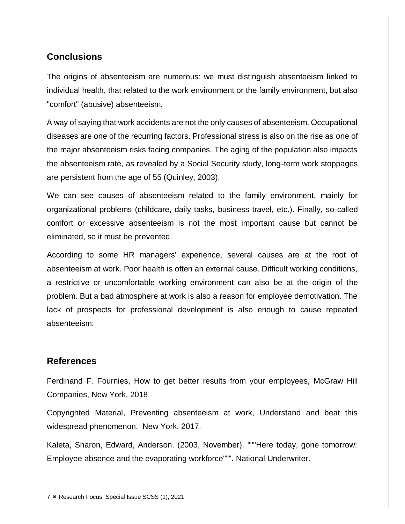## **Conclusions**

The origins of absenteeism are numerous: we must distinguish absenteeism linked to individual health, that related to the work environment or the family environment, but also "comfort" (abusive) absenteeism.

A way of saying that work accidents are not the only causes of absenteeism. Occupational diseases are one of the recurring factors. Professional stress is also on the rise as one of the major absenteeism risks facing companies. The aging of the population also impacts the absenteeism rate, as revealed by a Social Security study, long-term work stoppages are persistent from the age of 55 (Quinley, 2003).

We can see causes of absenteeism related to the family environment, mainly for organizational problems (childcare, daily tasks, business travel, etc.). Finally, so-called comfort or excessive absenteeism is not the most important cause but cannot be eliminated, so it must be prevented.

According to some HR managers' experience, several causes are at the root of absenteeism at work. Poor health is often an external cause. Difficult working conditions, a restrictive or uncomfortable working environment can also be at the origin of the problem. But a bad atmosphere at work is also a reason for employee demotivation. The lack of prospects for professional development is also enough to cause repeated absenteeism.

## **References**

Ferdinand F. Fournies, How to get better results from your employees, McGraw Hill Companies, New York, 2018

Copyrighted Material, Preventing absenteeism at work, Understand and beat this widespread phenomenon, New York, 2017.

Kaleta, Sharon, Edward, Anderson. (2003, November). """Here today, gone tomorrow: Employee absence and the evaporating workforce""". National Underwriter.

7  $\times$  Research Focus, Special Issue SCSS (1), 2021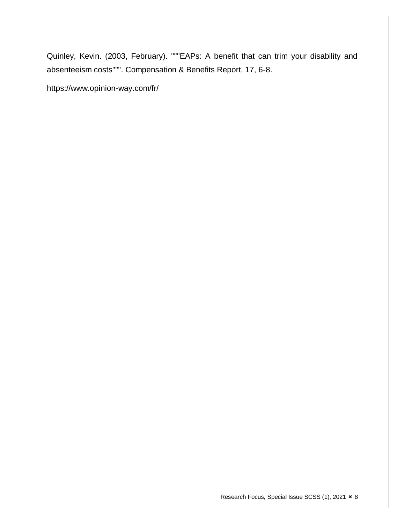Quinley, Kevin. (2003, February). """EAPs: A benefit that can trim your disability and absenteeism costs""". Compensation & Benefits Report. 17, 6-8.

https://www.opinion-way.com/fr/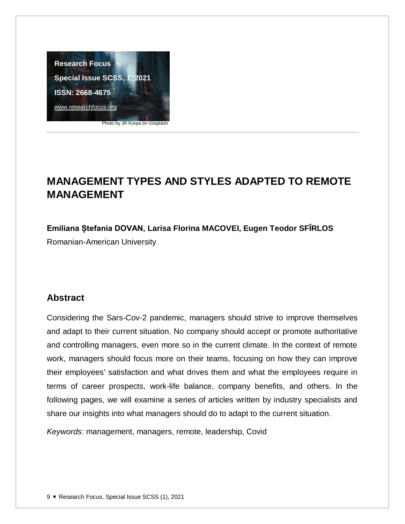

<span id="page-9-0"></span>**MANAGEMENT TYPES AND STYLES ADAPTED TO REMOTE MANAGEMENT**

## **Emiliana Ștefania DOVAN, Larisa Florina MACOVEI, Eugen Teodor SFÎRLOS**

Romanian-American University

## **Abstract**

Considering the Sars-Cov-2 pandemic, managers should strive to improve themselves and adapt to their current situation. No company should accept or promote authoritative and controlling managers, even more so in the current climate. In the context of remote work, managers should focus more on their teams, focusing on how they can improve their employees' satisfaction and what drives them and what the employees require in terms of career prospects, work-life balance, company benefits, and others. In the following pages, we will examine a series of articles written by industry specialists and share our insights into what managers should do to adapt to the current situation.

*Keywords:* management, managers, remote, leadership, Covid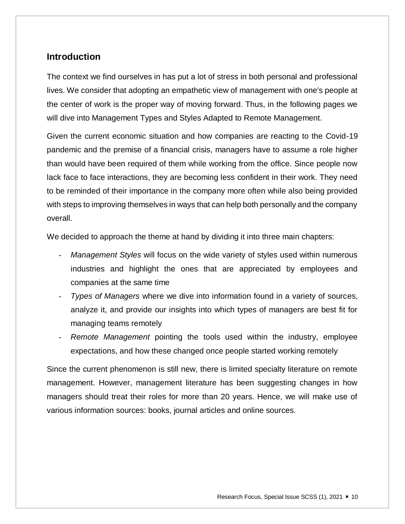## **Introduction**

The context we find ourselves in has put a lot of stress in both personal and professional lives. We consider that adopting an empathetic view of management with one's people at the center of work is the proper way of moving forward. Thus, in the following pages we will dive into Management Types and Styles Adapted to Remote Management.

Given the current economic situation and how companies are reacting to the Covid-19 pandemic and the premise of a financial crisis, managers have to assume a role higher than would have been required of them while working from the office. Since people now lack face to face interactions, they are becoming less confident in their work. They need to be reminded of their importance in the company more often while also being provided with steps to improving themselves in ways that can help both personally and the company overall.

We decided to approach the theme at hand by dividing it into three main chapters:

- *Management Styles* will focus on the wide variety of styles used within numerous industries and highlight the ones that are appreciated by employees and companies at the same time
- *Types of Managers* where we dive into information found in a variety of sources, analyze it, and provide our insights into which types of managers are best fit for managing teams remotely
- *Remote Management* pointing the tools used within the industry, employee expectations, and how these changed once people started working remotely

Since the current phenomenon is still new, there is limited specialty literature on remote management. However, management literature has been suggesting changes in how managers should treat their roles for more than 20 years. Hence, we will make use of various information sources: books, journal articles and online sources.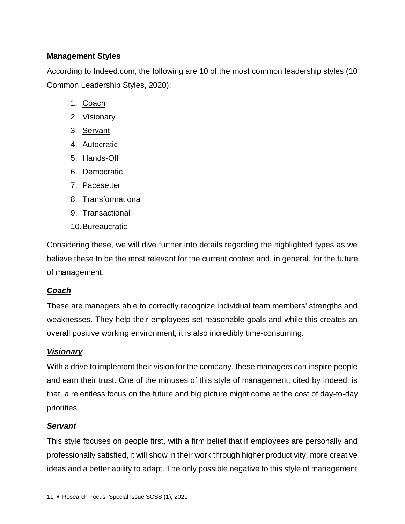## **Management Styles**

According to Indeed.com, the following are 10 of the most common leadership styles (10 Common Leadership Styles, 2020):

- 1. Coach
- 2. Visionary
- 3. Servant
- 4. Autocratic
- 5. Hands-Off
- 6. Democratic
- 7. Pacesetter
- 8. Transformational
- 9. Transactional
- 10.Bureaucratic

Considering these, we will dive further into details regarding the highlighted types as we believe these to be the most relevant for the current context and, in general, for the future of management.

## *Coach*

These are managers able to correctly recognize individual team members' strengths and weaknesses. They help their employees set reasonable goals and while this creates an overall positive working environment, it is also incredibly time-consuming.

#### *Visionary*

With a drive to implement their vision for the company, these managers can inspire people and earn their trust. One of the minuses of this style of management, cited by Indeed, is that, a relentless focus on the future and big picture might come at the cost of day-to-day priorities.

#### *Servant*

This style focuses on people first, with a firm belief that if employees are personally and professionally satisfied, it will show in their work through higher productivity, more creative ideas and a better ability to adapt. The only possible negative to this style of management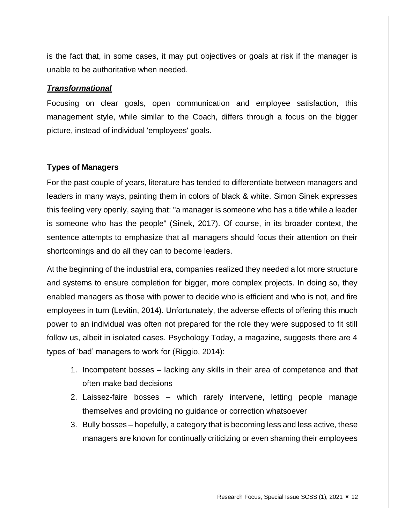is the fact that, in some cases, it may put objectives or goals at risk if the manager is unable to be authoritative when needed.

#### *Transformational*

Focusing on clear goals, open communication and employee satisfaction, this management style, while similar to the Coach, differs through a focus on the bigger picture, instead of individual 'employees' goals.

#### **Types of Managers**

For the past couple of years, literature has tended to differentiate between managers and leaders in many ways, painting them in colors of black & white. Simon Sinek expresses this feeling very openly, saying that: "a manager is someone who has a title while a leader is someone who has the people" (Sinek, 2017). Of course, in its broader context, the sentence attempts to emphasize that all managers should focus their attention on their shortcomings and do all they can to become leaders.

At the beginning of the industrial era, companies realized they needed a lot more structure and systems to ensure completion for bigger, more complex projects. In doing so, they enabled managers as those with power to decide who is efficient and who is not, and fire employees in turn (Levitin, 2014). Unfortunately, the adverse effects of offering this much power to an individual was often not prepared for the role they were supposed to fit still follow us, albeit in isolated cases. Psychology Today, a magazine, suggests there are 4 types of 'bad' managers to work for (Riggio, 2014):

- 1. Incompetent bosses lacking any skills in their area of competence and that often make bad decisions
- 2. Laissez-faire bosses which rarely intervene, letting people manage themselves and providing no guidance or correction whatsoever
- 3. Bully bosses hopefully, a category that is becoming less and less active, these managers are known for continually criticizing or even shaming their employees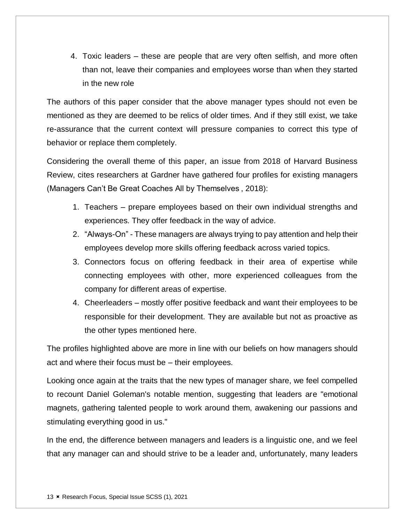4. Toxic leaders – these are people that are very often selfish, and more often than not, leave their companies and employees worse than when they started in the new role

The authors of this paper consider that the above manager types should not even be mentioned as they are deemed to be relics of older times. And if they still exist, we take re-assurance that the current context will pressure companies to correct this type of behavior or replace them completely.

Considering the overall theme of this paper, an issue from 2018 of Harvard Business Review, cites researchers at Gardner have gathered four profiles for existing managers (Managers Can't Be Great Coaches All by Themselves , 2018):

- 1. Teachers prepare employees based on their own individual strengths and experiences. They offer feedback in the way of advice.
- 2. "Always-On" These managers are always trying to pay attention and help their employees develop more skills offering feedback across varied topics.
- 3. Connectors focus on offering feedback in their area of expertise while connecting employees with other, more experienced colleagues from the company for different areas of expertise.
- 4. Cheerleaders mostly offer positive feedback and want their employees to be responsible for their development. They are available but not as proactive as the other types mentioned here.

The profiles highlighted above are more in line with our beliefs on how managers should act and where their focus must be – their employees.

Looking once again at the traits that the new types of manager share, we feel compelled to recount Daniel Goleman's notable mention, suggesting that leaders are "emotional magnets, gathering talented people to work around them, awakening our passions and stimulating everything good in us."

In the end, the difference between managers and leaders is a linguistic one, and we feel that any manager can and should strive to be a leader and, unfortunately, many leaders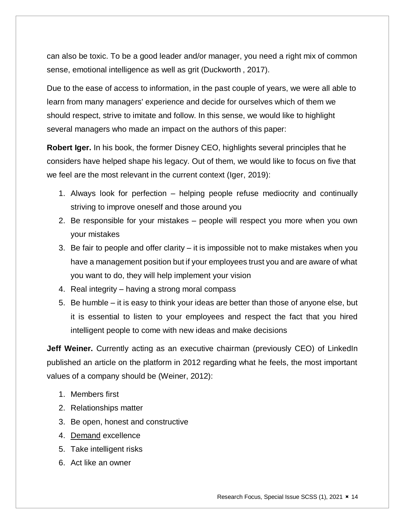can also be toxic. To be a good leader and/or manager, you need a right mix of common sense, emotional intelligence as well as grit (Duckworth , 2017).

Due to the ease of access to information, in the past couple of years, we were all able to learn from many managers' experience and decide for ourselves which of them we should respect, strive to imitate and follow. In this sense, we would like to highlight several managers who made an impact on the authors of this paper:

**Robert Iger.** In his book, the former Disney CEO, highlights several principles that he considers have helped shape his legacy. Out of them, we would like to focus on five that we feel are the most relevant in the current context (Iger, 2019):

- 1. Always look for perfection helping people refuse mediocrity and continually striving to improve oneself and those around you
- 2. Be responsible for your mistakes people will respect you more when you own your mistakes
- 3. Be fair to people and offer clarity it is impossible not to make mistakes when you have a management position but if your employees trust you and are aware of what you want to do, they will help implement your vision
- 4. Real integrity having a strong moral compass
- 5. Be humble it is easy to think your ideas are better than those of anyone else, but it is essential to listen to your employees and respect the fact that you hired intelligent people to come with new ideas and make decisions

**Jeff Weiner.** Currently acting as an executive chairman (previously CEO) of LinkedIn published an article on the platform in 2012 regarding what he feels, the most important values of a company should be (Weiner, 2012):

- 1. Members first
- 2. Relationships matter
- 3. Be open, honest and constructive
- 4. Demand excellence
- 5. Take intelligent risks
- 6. Act like an owner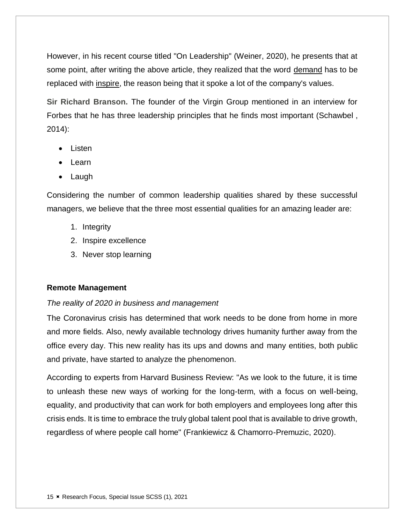However, in his recent course titled "On Leadership" (Weiner, 2020), he presents that at some point, after writing the above article, they realized that the word demand has to be replaced with inspire, the reason being that it spoke a lot of the company's values.

**Sir Richard Branson.** The founder of the Virgin Group mentioned in an interview for Forbes that he has three leadership principles that he finds most important (Schawbel , 2014):

- $\bullet$  Listen
- Learn
- Laugh

Considering the number of common leadership qualities shared by these successful managers, we believe that the three most essential qualities for an amazing leader are:

- 1. Integrity
- 2. Inspire excellence
- 3. Never stop learning

#### **Remote Management**

#### *The reality of 2020 in business and management*

The Coronavirus crisis has determined that work needs to be done from home in more and more fields. Also, newly available technology drives humanity further away from the office every day. This new reality has its ups and downs and many entities, both public and private, have started to analyze the phenomenon.

According to experts from Harvard Business Review: "As we look to the future, it is time to unleash these new ways of working for the long-term, with a focus on well-being, equality, and productivity that can work for both employers and employees long after this crisis ends. It is time to embrace the truly global talent pool that is available to drive growth, regardless of where people call home" (Frankiewicz & Chamorro-Premuzic, 2020).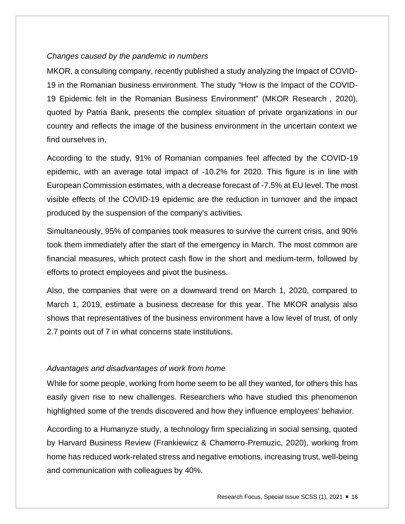#### *Changes caused by the pandemic in numbers*

MKOR, a consulting company, recently published a study analyzing the Impact of COVID-19 in the Romanian business environment. The study "How is the Impact of the COVID-19 Epidemic felt in the Romanian Business Environment" (MKOR Research , 2020), quoted by Patria Bank, presents the complex situation of private organizations in our country and reflects the image of the business environment in the uncertain context we find ourselves in.

According to the study, 91% of Romanian companies feel affected by the COVID-19 epidemic, with an average total impact of -10.2% for 2020. This figure is in line with European Commission estimates, with a decrease forecast of -7.5% at EU level. The most visible effects of the COVID-19 epidemic are the reduction in turnover and the impact produced by the suspension of the company's activities.

Simultaneously, 95% of companies took measures to survive the current crisis, and 90% took them immediately after the start of the emergency in March. The most common are financial measures, which protect cash flow in the short and medium-term, followed by efforts to protect employees and pivot the business.

Also, the companies that were on a downward trend on March 1, 2020, compared to March 1, 2019, estimate a business decrease for this year. The MKOR analysis also shows that representatives of the business environment have a low level of trust, of only 2.7 points out of 7 in what concerns state institutions.

#### *Advantages and disadvantages of work from home*

While for some people, working from home seem to be all they wanted, for others this has easily given rise to new challenges. Researchers who have studied this phenomenon highlighted some of the trends discovered and how they influence employees' behavior.

According to a Humanyze study, a technology firm specializing in social sensing, quoted by Harvard Business Review (Frankiewicz & Chamorro-Premuzic, 2020), working from home has reduced work-related stress and negative emotions, increasing trust, well-being and communication with colleagues by 40%.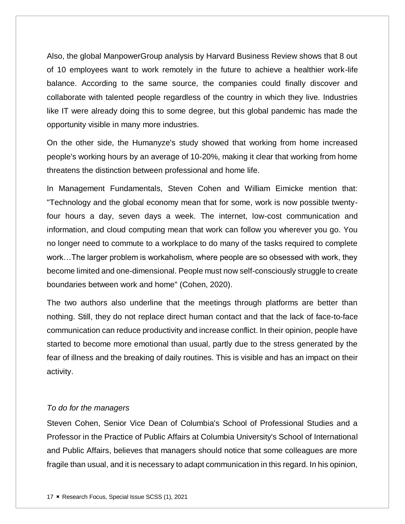Also, the global ManpowerGroup analysis by Harvard Business Review shows that 8 out of 10 employees want to work remotely in the future to achieve a healthier work-life balance. According to the same source, the companies could finally discover and collaborate with talented people regardless of the country in which they live. Industries like IT were already doing this to some degree, but this global pandemic has made the opportunity visible in many more industries.

On the other side, the Humanyze's study showed that working from home increased people's working hours by an average of 10-20%, making it clear that working from home threatens the distinction between professional and home life.

In Management Fundamentals, Steven Cohen and William Eimicke mention that: "Technology and the global economy mean that for some, work is now possible twentyfour hours a day, seven days a week. The internet, low-cost communication and information, and cloud computing mean that work can follow you wherever you go. You no longer need to commute to a workplace to do many of the tasks required to complete work…The larger problem is workaholism, where people are so obsessed with work, they become limited and one-dimensional. People must now self-consciously struggle to create boundaries between work and home" (Cohen, 2020).

The two authors also underline that the meetings through platforms are better than nothing. Still, they do not replace direct human contact and that the lack of face-to-face communication can reduce productivity and increase conflict. In their opinion, people have started to become more emotional than usual, partly due to the stress generated by the fear of illness and the breaking of daily routines. This is visible and has an impact on their activity.

#### *To do for the managers*

Steven Cohen, Senior Vice Dean of Columbia's School of Professional Studies and a Professor in the Practice of Public Affairs at Columbia University's School of International and Public Affairs, believes that managers should notice that some colleagues are more fragile than usual, and it is necessary to adapt communication in this regard. In his opinion,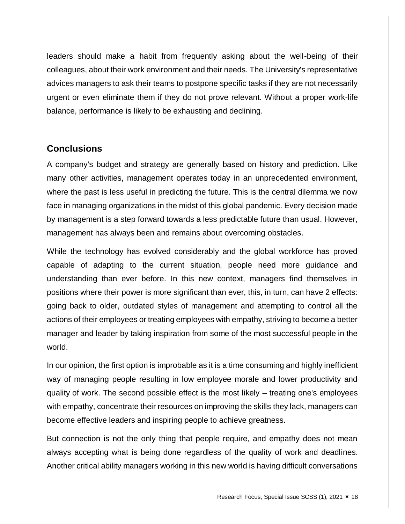leaders should make a habit from frequently asking about the well-being of their colleagues, about their work environment and their needs. The University's representative advices managers to ask their teams to postpone specific tasks if they are not necessarily urgent or even eliminate them if they do not prove relevant. Without a proper work-life balance, performance is likely to be exhausting and declining.

## **Conclusions**

A company's budget and strategy are generally based on history and prediction. Like many other activities, management operates today in an unprecedented environment, where the past is less useful in predicting the future. This is the central dilemma we now face in managing organizations in the midst of this global pandemic. Every decision made by management is a step forward towards a less predictable future than usual. However, management has always been and remains about overcoming obstacles.

While the technology has evolved considerably and the global workforce has proved capable of adapting to the current situation, people need more guidance and understanding than ever before. In this new context, managers find themselves in positions where their power is more significant than ever, this, in turn, can have 2 effects: going back to older, outdated styles of management and attempting to control all the actions of their employees or treating employees with empathy, striving to become a better manager and leader by taking inspiration from some of the most successful people in the world.

In our opinion, the first option is improbable as it is a time consuming and highly inefficient way of managing people resulting in low employee morale and lower productivity and quality of work. The second possible effect is the most likely – treating one's employees with empathy, concentrate their resources on improving the skills they lack, managers can become effective leaders and inspiring people to achieve greatness.

But connection is not the only thing that people require, and empathy does not mean always accepting what is being done regardless of the quality of work and deadlines. Another critical ability managers working in this new world is having difficult conversations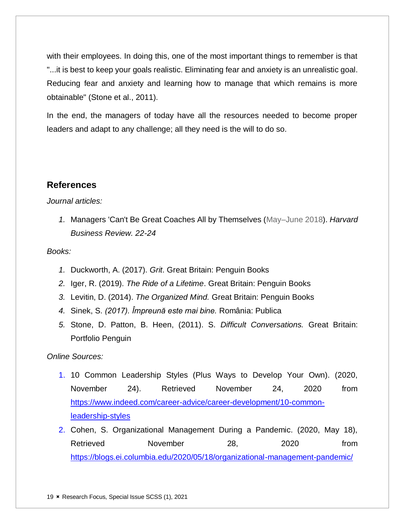with their employees. In doing this, one of the most important things to remember is that "...it is best to keep your goals realistic. Eliminating fear and anxiety is an unrealistic goal. Reducing fear and anxiety and learning how to manage that which remains is more obtainable" (Stone et al., 2011).

In the end, the managers of today have all the resources needed to become proper leaders and adapt to any challenge; all they need is the will to do so.

## **References**

*Journal articles:*

*1.* Managers 'Can't Be Great Coaches All by Themselves (May–June 2018). *Harvard Business Review. 22-24*

*Books:*

- *1.* Duckworth, A. (2017). *Grit*. Great Britain: Penguin Books
- *2.* Iger, R. (2019). *The Ride of a Lifetime*. Great Britain: Penguin Books
- *3.* Levitin, D. (2014). *The Organized Mind.* Great Britain: Penguin Books
- *4.* Sinek, S. *(2017). Împreună este mai bine.* România: Publica
- *5.* Stone, D. Patton, B. Heen, (2011). S. *Difficult Conversations.* Great Britain: Portfolio Penguin

*Online Sources:*

- 1. 10 Common Leadership Styles (Plus Ways to Develop Your Own). (2020, November 24). Retrieved November 24, 2020 from [https://www.indeed.com/career-advice/career-development/10-common](https://www.indeed.com/career-advice/career-development/10-common-leadership-styles)[leadership-styles](https://www.indeed.com/career-advice/career-development/10-common-leadership-styles)
- 2. Cohen, S. Organizational Management During a Pandemic. (2020, May 18), Retrieved November 28, 2020 from <https://blogs.ei.columbia.edu/2020/05/18/organizational-management-pandemic/>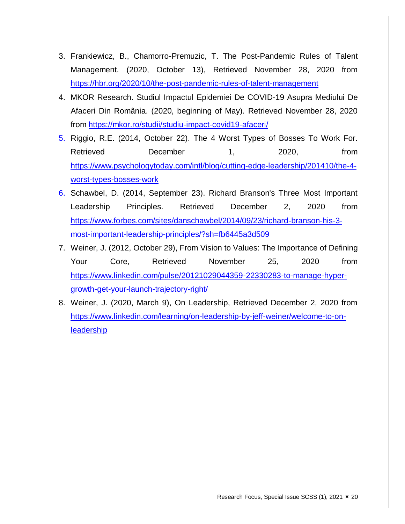- 3. Frankiewicz, B., Chamorro-Premuzic, T. The Post-Pandemic Rules of Talent Management. (2020, October 13), Retrieved November 28, 2020 from <https://hbr.org/2020/10/the-post-pandemic-rules-of-talent-management>
- 4. MKOR Research. Studiul Impactul Epidemiei De COVID-19 Asupra Mediului De Afaceri Din România. (2020, beginning of May). Retrieved November 28, 2020 from<https://mkor.ro/studii/studiu-impact-covid19-afaceri/>
- 5. Riggio, R.E. (2014, October 22). The 4 Worst Types of Bosses To Work For. Retrieved December 1, 2020, from [https://www.psychologytoday.com/intl/blog/cutting-edge-leadership/201410/the-4](https://www.psychologytoday.com/intl/blog/cutting-edge-leadership/201410/the-4-worst-types-bosses-work) [worst-types-bosses-work](https://www.psychologytoday.com/intl/blog/cutting-edge-leadership/201410/the-4-worst-types-bosses-work)
- 6. Schawbel, D. (2014, September 23). Richard Branson's Three Most Important Leadership Principles. Retrieved December 2, 2020 from [https://www.forbes.com/sites/danschawbel/2014/09/23/richard-branson-his-3](https://www.forbes.com/sites/danschawbel/2014/09/23/richard-branson-his-3-most-important-leadership-principles/?sh=fb6445a3d509) [most-important-leadership-principles/?sh=fb6445a3d509](https://www.forbes.com/sites/danschawbel/2014/09/23/richard-branson-his-3-most-important-leadership-principles/?sh=fb6445a3d509)
- 7. Weiner, J. (2012, October 29), From Vision to Values: The Importance of Defining Your Core, Retrieved November 25, 2020 from [https://www.linkedin.com/pulse/20121029044359-22330283-to-manage-hyper](https://www.linkedin.com/pulse/20121029044359-22330283-to-manage-hyper-growth-get-your-launch-trajectory-right/)[growth-get-your-launch-trajectory-right/](https://www.linkedin.com/pulse/20121029044359-22330283-to-manage-hyper-growth-get-your-launch-trajectory-right/)
- 8. Weiner, J. (2020, March 9), On Leadership, Retrieved December 2, 2020 from [https://www.linkedin.com/learning/on-leadership-by-jeff-weiner/welcome-to-on](https://www.linkedin.com/learning/on-leadership-by-jeff-weiner/welcome-to-on-leadership)[leadership](https://www.linkedin.com/learning/on-leadership-by-jeff-weiner/welcome-to-on-leadership)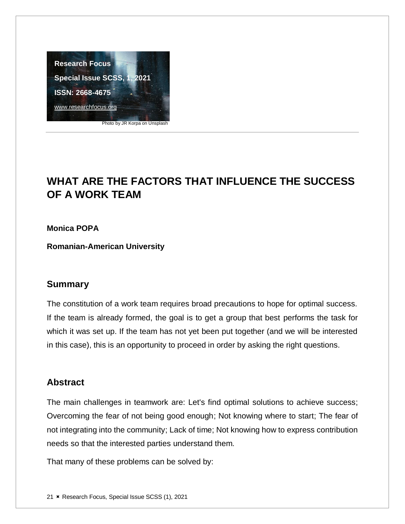

# <span id="page-21-0"></span>**WHAT ARE THE FACTORS THAT INFLUENCE THE SUCCESS OF A WORK TEAM**

#### **Monica POPA**

**Romanian-American University**

## **Summary**

The constitution of a work team requires broad precautions to hope for optimal success. If the team is already formed, the goal is to get a group that best performs the task for which it was set up. If the team has not yet been put together (and we will be interested in this case), this is an opportunity to proceed in order by asking the right questions.

## **Abstract**

The main challenges in teamwork are: Let's find optimal solutions to achieve success; Overcoming the fear of not being good enough; Not knowing where to start; The fear of not integrating into the community; Lack of time; Not knowing how to express contribution needs so that the interested parties understand them.

That many of these problems can be solved by: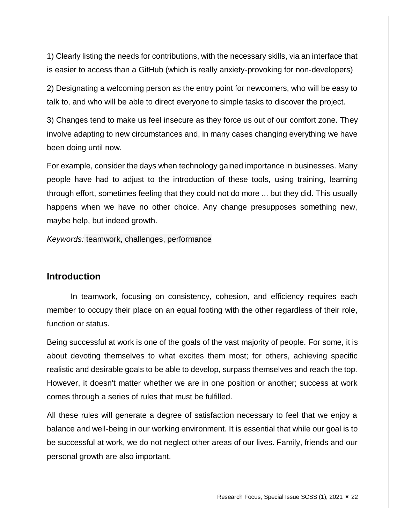1) Clearly listing the needs for contributions, with the necessary skills, via an interface that is easier to access than a GitHub (which is really anxiety-provoking for non-developers)

2) Designating a welcoming person as the entry point for newcomers, who will be easy to talk to, and who will be able to direct everyone to simple tasks to discover the project.

3) Changes tend to make us feel insecure as they force us out of our comfort zone. They involve adapting to new circumstances and, in many cases changing everything we have been doing until now.

For example, consider the days when technology gained importance in businesses. Many people have had to adjust to the introduction of these tools, using training, learning through effort, sometimes feeling that they could not do more ... but they did. This usually happens when we have no other choice. Any change presupposes something new, maybe help, but indeed growth.

*Keywords:* teamwork, challenges, performance

#### **Introduction**

In teamwork, focusing on consistency, cohesion, and efficiency requires each member to occupy their place on an equal footing with the other regardless of their role, function or status.

Being successful at work is one of the goals of the vast majority of people. For some, it is about devoting themselves to what excites them most; for others, achieving specific realistic and desirable goals to be able to develop, surpass themselves and reach the top. However, it doesn't matter whether we are in one position or another; success at work comes through a series of rules that must be fulfilled.

All these rules will generate a degree of satisfaction necessary to feel that we enjoy a balance and well-being in our working environment. It is essential that while our goal is to be successful at work, we do not neglect other areas of our lives. Family, friends and our personal growth are also important.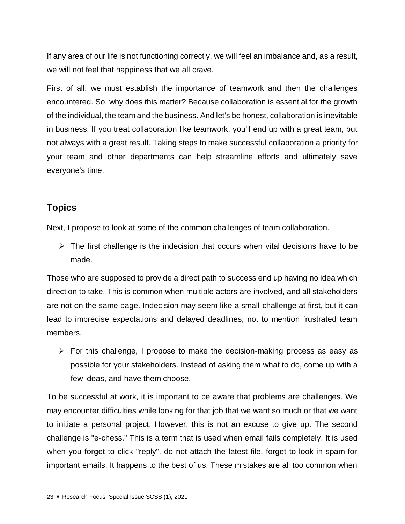If any area of our life is not functioning correctly, we will feel an imbalance and, as a result, we will not feel that happiness that we all crave.

First of all, we must establish the importance of teamwork and then the challenges encountered. So, why does this matter? Because collaboration is essential for the growth of the individual, the team and the business. And let's be honest, collaboration is inevitable in business. If you treat collaboration like teamwork, you'll end up with a great team, but not always with a great result. Taking steps to make successful collaboration a priority for your team and other departments can help streamline efforts and ultimately save everyone's time.

## **Topics**

Next, I propose to look at some of the common challenges of team collaboration.

 $\triangleright$  The first challenge is the indecision that occurs when vital decisions have to be made.

Those who are supposed to provide a direct path to success end up having no idea which direction to take. This is common when multiple actors are involved, and all stakeholders are not on the same page. Indecision may seem like a small challenge at first, but it can lead to imprecise expectations and delayed deadlines, not to mention frustrated team members.

 $\triangleright$  For this challenge, I propose to make the decision-making process as easy as possible for your stakeholders. Instead of asking them what to do, come up with a few ideas, and have them choose.

To be successful at work, it is important to be aware that problems are challenges. We may encounter difficulties while looking for that job that we want so much or that we want to initiate a personal project. However, this is not an excuse to give up. The second challenge is "e-chess." This is a term that is used when email fails completely. It is used when you forget to click "reply", do not attach the latest file, forget to look in spam for important emails. It happens to the best of us. These mistakes are all too common when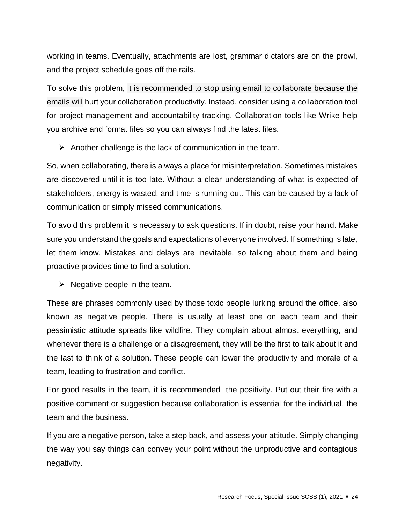working in teams. Eventually, attachments are lost, grammar dictators are on the prowl, and the project schedule goes off the rails.

To solve this problem, it is recommended to stop using email to collaborate because the emails will hurt your collaboration productivity. Instead, consider using a collaboration tool for project management and accountability tracking. Collaboration tools like Wrike help you archive and format files so you can always find the latest files.

 $\triangleright$  Another challenge is the lack of communication in the team.

So, when collaborating, there is always a place for misinterpretation. Sometimes mistakes are discovered until it is too late. Without a clear understanding of what is expected of stakeholders, energy is wasted, and time is running out. This can be caused by a lack of communication or simply missed communications.

To avoid this problem it is necessary to ask questions. If in doubt, raise your hand. Make sure you understand the goals and expectations of everyone involved. If something is late, let them know. Mistakes and delays are inevitable, so talking about them and being proactive provides time to find a solution.

 $\triangleright$  Negative people in the team.

These are phrases commonly used by those toxic people lurking around the office, also known as negative people. There is usually at least one on each team and their pessimistic attitude spreads like wildfire. They complain about almost everything, and whenever there is a challenge or a disagreement, they will be the first to talk about it and the last to think of a solution. These people can lower the productivity and morale of a team, leading to frustration and conflict.

For good results in the team, it is recommended the positivity. Put out their fire with a positive comment or suggestion because collaboration is essential for the individual, the team and the business.

If you are a negative person, take a step back, and assess your attitude. Simply changing the way you say things can convey your point without the unproductive and contagious negativity.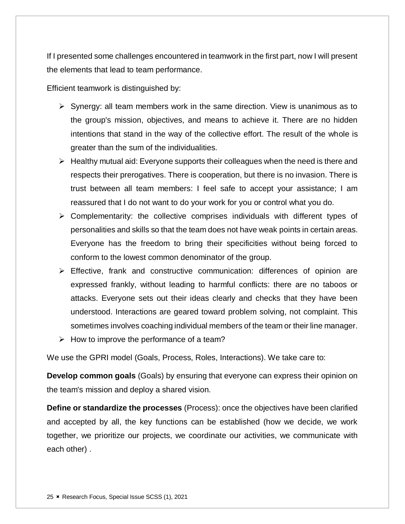If I presented some challenges encountered in teamwork in the first part, now I will present the elements that lead to team performance.

Efficient teamwork is distinguished by:

- $\triangleright$  Synergy: all team members work in the same direction. View is unanimous as to the group's mission, objectives, and means to achieve it. There are no hidden intentions that stand in the way of the collective effort. The result of the whole is greater than the sum of the individualities.
- $\triangleright$  Healthy mutual aid: Everyone supports their colleagues when the need is there and respects their prerogatives. There is cooperation, but there is no invasion. There is trust between all team members: I feel safe to accept your assistance; I am reassured that I do not want to do your work for you or control what you do.
- $\triangleright$  Complementarity: the collective comprises individuals with different types of personalities and skills so that the team does not have weak points in certain areas. Everyone has the freedom to bring their specificities without being forced to conform to the lowest common denominator of the group.
- $\triangleright$  Effective, frank and constructive communication: differences of opinion are expressed frankly, without leading to harmful conflicts: there are no taboos or attacks. Everyone sets out their ideas clearly and checks that they have been understood. Interactions are geared toward problem solving, not complaint. This sometimes involves coaching individual members of the team or their line manager.
- $\triangleright$  How to improve the performance of a team?

We use the GPRI model (Goals, Process, Roles, Interactions). We take care to:

**Develop common goals** (Goals) by ensuring that everyone can express their opinion on the team's mission and deploy a shared vision.

**Define or standardize the processes** (Process): once the objectives have been clarified and accepted by all, the key functions can be established (how we decide, we work together, we prioritize our projects, we coordinate our activities, we communicate with each other) .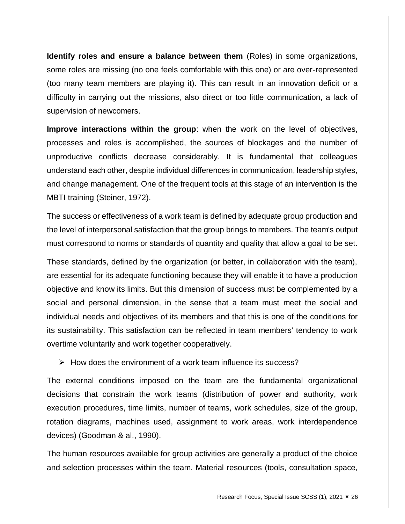**Identify roles and ensure a balance between them** (Roles) in some organizations, some roles are missing (no one feels comfortable with this one) or are over-represented (too many team members are playing it). This can result in an innovation deficit or a difficulty in carrying out the missions, also direct or too little communication, a lack of supervision of newcomers.

**Improve interactions within the group**: when the work on the level of objectives, processes and roles is accomplished, the sources of blockages and the number of unproductive conflicts decrease considerably. It is fundamental that colleagues understand each other, despite individual differences in communication, leadership styles, and change management. One of the frequent tools at this stage of an intervention is the MBTI training (Steiner, 1972).

The success or effectiveness of a work team is defined by adequate group production and the level of interpersonal satisfaction that the group brings to members. The team's output must correspond to norms or standards of quantity and quality that allow a goal to be set.

These standards, defined by the organization (or better, in collaboration with the team), are essential for its adequate functioning because they will enable it to have a production objective and know its limits. But this dimension of success must be complemented by a social and personal dimension, in the sense that a team must meet the social and individual needs and objectives of its members and that this is one of the conditions for its sustainability. This satisfaction can be reflected in team members' tendency to work overtime voluntarily and work together cooperatively.

 $\triangleright$  How does the environment of a work team influence its success?

The external conditions imposed on the team are the fundamental organizational decisions that constrain the work teams (distribution of power and authority, work execution procedures, time limits, number of teams, work schedules, size of the group, rotation diagrams, machines used, assignment to work areas, work interdependence devices) (Goodman & al., 1990).

The human resources available for group activities are generally a product of the choice and selection processes within the team. Material resources (tools, consultation space,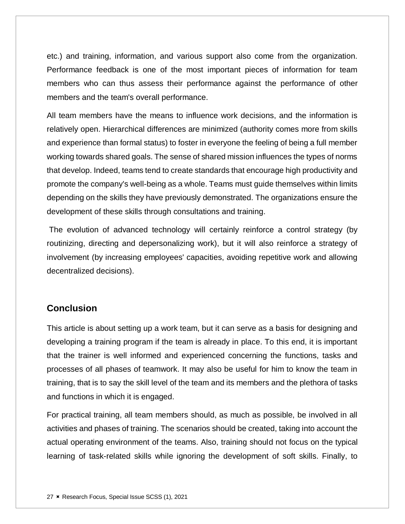etc.) and training, information, and various support also come from the organization. Performance feedback is one of the most important pieces of information for team members who can thus assess their performance against the performance of other members and the team's overall performance.

All team members have the means to influence work decisions, and the information is relatively open. Hierarchical differences are minimized (authority comes more from skills and experience than formal status) to foster in everyone the feeling of being a full member working towards shared goals. The sense of shared mission influences the types of norms that develop. Indeed, teams tend to create standards that encourage high productivity and promote the company's well-being as a whole. Teams must guide themselves within limits depending on the skills they have previously demonstrated. The organizations ensure the development of these skills through consultations and training.

The evolution of advanced technology will certainly reinforce a control strategy (by routinizing, directing and depersonalizing work), but it will also reinforce a strategy of involvement (by increasing employees' capacities, avoiding repetitive work and allowing decentralized decisions).

## **Conclusion**

This article is about setting up a work team, but it can serve as a basis for designing and developing a training program if the team is already in place. To this end, it is important that the trainer is well informed and experienced concerning the functions, tasks and processes of all phases of teamwork. It may also be useful for him to know the team in training, that is to say the skill level of the team and its members and the plethora of tasks and functions in which it is engaged.

For practical training, all team members should, as much as possible, be involved in all activities and phases of training. The scenarios should be created, taking into account the actual operating environment of the teams. Also, training should not focus on the typical learning of task-related skills while ignoring the development of soft skills. Finally, to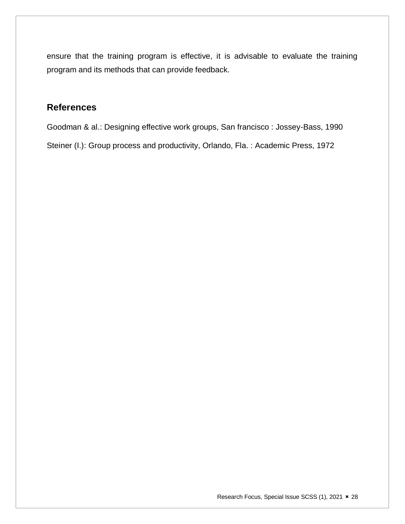ensure that the training program is effective, it is advisable to evaluate the training program and its methods that can provide feedback.

## **References**

Goodman & al.: Designing effective work groups, San francisco : Jossey-Bass, 1990 Steiner (I.): Group process and productivity, Orlando, Fla. : Academic Press, 1972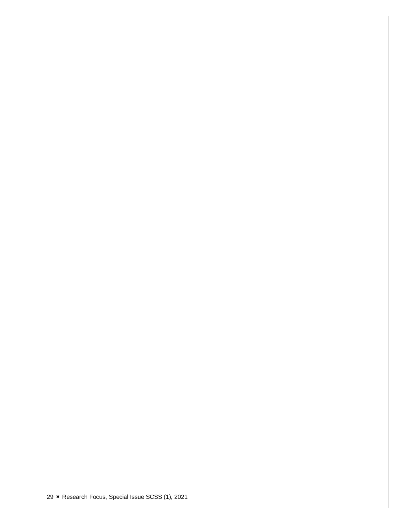**×** Research Focus, Special Issue SCSS (1), 2021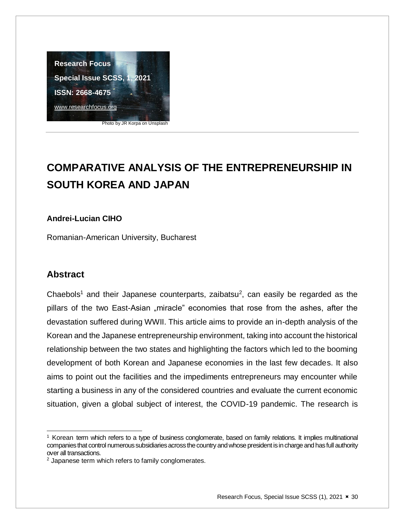

<span id="page-30-0"></span>**COMPARATIVE ANALYSIS OF THE ENTREPRENEURSHIP IN SOUTH KOREA AND JAPAN**

#### **Andrei-Lucian CIHO**

Romanian-American University, Bucharest

## **Abstract**

Chaebols<sup>1</sup> and their Japanese counterparts, zaibatsu<sup>2</sup>, can easily be regarded as the pillars of the two East-Asian "miracle" economies that rose from the ashes, after the devastation suffered during WWII. This article aims to provide an in-depth analysis of the Korean and the Japanese entrepreneurship environment, taking into account the historical relationship between the two states and highlighting the factors which led to the booming development of both Korean and Japanese economies in the last few decades. It also aims to point out the facilities and the impediments entrepreneurs may encounter while starting a business in any of the considered countries and evaluate the current economic situation, given a global subject of interest, the COVID-19 pandemic. The research is

<sup>1</sup> Korean term which refers to a type of business conglomerate, based on family relations. It implies multinational companies that control numerous subsidiaries across the country and whose president is in charge and has full authority over all transactions.

<sup>&</sup>lt;sup>2</sup> Japanese term which refers to family conglomerates.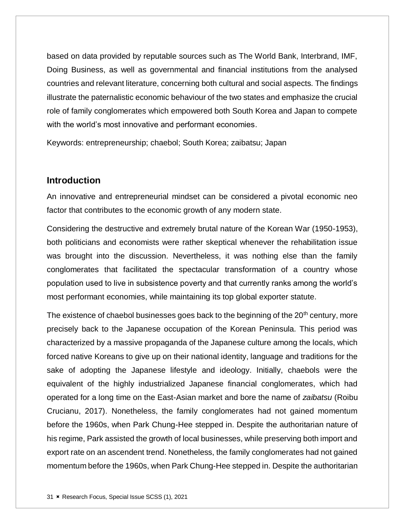based on data provided by reputable sources such as The World Bank, Interbrand, IMF, Doing Business, as well as governmental and financial institutions from the analysed countries and relevant literature, concerning both cultural and social aspects. The findings illustrate the paternalistic economic behaviour of the two states and emphasize the crucial role of family conglomerates which empowered both South Korea and Japan to compete with the world's most innovative and performant economies.

Keywords: entrepreneurship; chaebol; South Korea; zaibatsu; Japan

## **Introduction**

An innovative and entrepreneurial mindset can be considered a pivotal economic neo factor that contributes to the economic growth of any modern state.

Considering the destructive and extremely brutal nature of the Korean War (1950-1953), both politicians and economists were rather skeptical whenever the rehabilitation issue was brought into the discussion. Nevertheless, it was nothing else than the family conglomerates that facilitated the spectacular transformation of a country whose population used to live in subsistence poverty and that currently ranks among the world's most performant economies, while maintaining its top global exporter statute.

The existence of chaebol businesses goes back to the beginning of the  $20<sup>th</sup>$  century, more precisely back to the Japanese occupation of the Korean Peninsula. This period was characterized by a massive propaganda of the Japanese culture among the locals, which forced native Koreans to give up on their national identity, language and traditions for the sake of adopting the Japanese lifestyle and ideology. Initially, chaebols were the equivalent of the highly industrialized Japanese financial conglomerates, which had operated for a long time on the East-Asian market and bore the name of *zaibatsu* (Roibu Crucianu, 2017). Nonetheless, the family conglomerates had not gained momentum before the 1960s, when Park Chung-Hee stepped in. Despite the authoritarian nature of his regime, Park assisted the growth of local businesses, while preserving both import and export rate on an ascendent trend. Nonetheless, the family conglomerates had not gained momentum before the 1960s, when Park Chung-Hee stepped in. Despite the authoritarian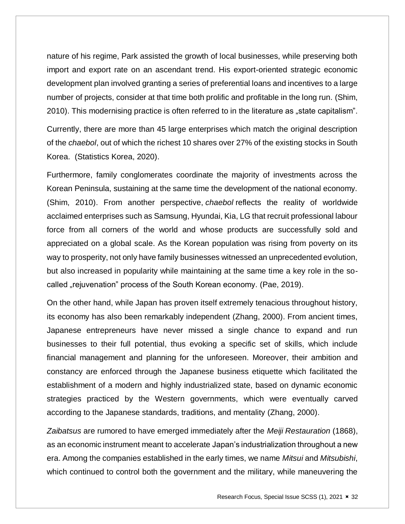nature of his regime, Park assisted the growth of local businesses, while preserving both import and export rate on an ascendant trend. His export-oriented strategic economic development plan involved granting a series of preferential loans and incentives to a large number of projects, consider at that time both prolific and profitable in the long run. (Shim, 2010). This modernising practice is often referred to in the literature as "state capitalism".

Currently, there are more than 45 large enterprises which match the original description of the *chaebol*, out of which the richest 10 shares over 27% of the existing stocks in South Korea. (Statistics Korea, 2020).

Furthermore, family conglomerates coordinate the majority of investments across the Korean Peninsula, sustaining at the same time the development of the national economy. (Shim, 2010). From another perspective, *chaebol* reflects the reality of worldwide acclaimed enterprises such as Samsung, Hyundai, Kia, LG that recruit professional labour force from all corners of the world and whose products are successfully sold and appreciated on a global scale. As the Korean population was rising from poverty on its way to prosperity, not only have family businesses witnessed an unprecedented evolution, but also increased in popularity while maintaining at the same time a key role in the socalled "rejuvenation" process of the South Korean economy. (Pae, 2019).

On the other hand, while Japan has proven itself extremely tenacious throughout history, its economy has also been remarkably independent (Zhang, 2000). From ancient times, Japanese entrepreneurs have never missed a single chance to expand and run businesses to their full potential, thus evoking a specific set of skills, which include financial management and planning for the unforeseen. Moreover, their ambition and constancy are enforced through the Japanese business etiquette which facilitated the establishment of a modern and highly industrialized state, based on dynamic economic strategies practiced by the Western governments, which were eventually carved according to the Japanese standards, traditions, and mentality (Zhang, 2000).

*Zaibatsus* are rumored to have emerged immediately after the *Meiji Restauration* (1868), as an economic instrument meant to accelerate Japan's industrialization throughout a new era. Among the companies established in the early times, we name *Mitsui* and *Mitsubishi*, which continued to control both the government and the military, while maneuvering the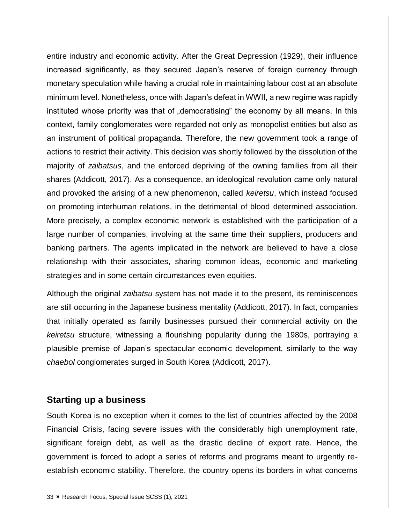entire industry and economic activity. After the Great Depression (1929), their influence increased significantly, as they secured Japan's reserve of foreign currency through monetary speculation while having a crucial role in maintaining labour cost at an absolute minimum level. Nonetheless, once with Japan's defeat in WWII, a new regime was rapidly instituted whose priority was that of "democratising" the economy by all means. In this context, family conglomerates were regarded not only as monopolist entities but also as an instrument of political propaganda. Therefore, the new government took a range of actions to restrict their activity. This decision was shortly followed by the dissolution of the majority of *zaibatsus*, and the enforced depriving of the owning families from all their shares (Addicott, 2017). As a consequence, an ideological revolution came only natural and provoked the arising of a new phenomenon, called *keiretsu*, which instead focused on promoting interhuman relations, in the detrimental of blood determined association. More precisely, a complex economic network is established with the participation of a large number of companies, involving at the same time their suppliers, producers and banking partners. The agents implicated in the network are believed to have a close relationship with their associates, sharing common ideas, economic and marketing strategies and in some certain circumstances even equities.

Although the original *zaibatsu* system has not made it to the present, its reminiscences are still occurring in the Japanese business mentality (Addicott, 2017). In fact, companies that initially operated as family businesses pursued their commercial activity on the *keiretsu* structure, witnessing a flourishing popularity during the 1980s, portraying a plausible premise of Japan's spectacular economic development, similarly to the way *chaebol* conglomerates surged in South Korea (Addicott, 2017).

#### **Starting up a business**

South Korea is no exception when it comes to the list of countries affected by the 2008 Financial Crisis, facing severe issues with the considerably high unemployment rate, significant foreign debt, as well as the drastic decline of export rate. Hence, the government is forced to adopt a series of reforms and programs meant to urgently reestablish economic stability. Therefore, the country opens its borders in what concerns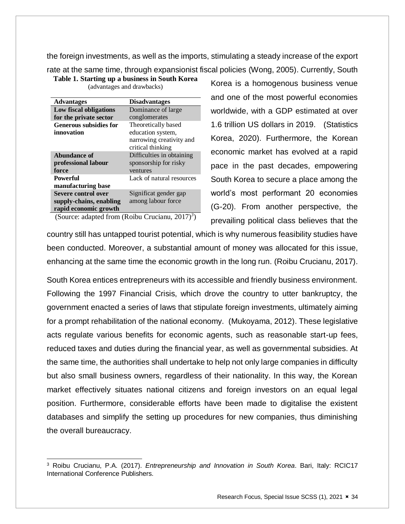the foreign investments, as well as the imports, stimulating a steady increase of the export rate at the same time, through expansionist fiscal policies (Wong, 2005). Currently, South

**Table 1. Starting up a business in South Korea** (advantages and drawbacks)

| <b>Advantages</b>                                                            | <b>Disadvantages</b>      |  |
|------------------------------------------------------------------------------|---------------------------|--|
| Low fiscal obligations                                                       | Dominance of large        |  |
| for the private sector                                                       | conglomerates             |  |
| <b>Generous subsidies for</b>                                                | Theoretically based       |  |
| innovation                                                                   | education system,         |  |
|                                                                              | narrowing creativity and  |  |
|                                                                              | critical thinking         |  |
| Abundance of                                                                 | Difficulties in obtaining |  |
| professional labour                                                          | sponsorship for risky     |  |
| force                                                                        | ventures                  |  |
| Powerful                                                                     | Lack of natural resources |  |
| manufacturing base                                                           |                           |  |
| Severe control over                                                          | Significat gender gap     |  |
| supply-chains, enabling                                                      | among labour force        |  |
| rapid economic growth                                                        |                           |  |
| $(S_{\text{our}})$ adented from $(D_{\text{oc}})$ $C_{\text{ru}}$ $(2017)^3$ |                           |  |

Korea is a homogenous business venue and one of the most powerful economies worldwide, with a GDP estimated at over 1.6 trillion US dollars in 2019. (Statistics Korea, 2020). Furthermore, the Korean economic market has evolved at a rapid pace in the past decades, empowering South Korea to secure a place among the world's most performant 20 economies (G-20). From another perspective, the prevailing political class believes that the

(Source: adapted from (Roibu Crucianu, 2017)*<sup>3</sup>* )

country still has untapped tourist potential, which is why numerous feasibility studies have been conducted. Moreover, a substantial amount of money was allocated for this issue, enhancing at the same time the economic growth in the long run. (Roibu Crucianu, 2017).

South Korea entices entrepreneurs with its accessible and friendly business environment. Following the 1997 Financial Crisis, which drove the country to utter bankruptcy, the government enacted a series of laws that stipulate foreign investments, ultimately aiming for a prompt rehabilitation of the national economy. (Mukoyama, 2012). These legislative acts regulate various benefits for economic agents, such as reasonable start-up fees, reduced taxes and duties during the financial year, as well as governmental subsidies. At the same time, the authorities shall undertake to help not only large companies in difficulty but also small business owners, regardless of their nationality. In this way, the Korean market effectively situates national citizens and foreign investors on an equal legal position. Furthermore, considerable efforts have been made to digitalise the existent databases and simplify the setting up procedures for new companies, thus diminishing the overall bureaucracy.

 $\overline{a}$ <sup>3</sup> Roibu Crucianu, P.A. (2017). *Entrepreneurship and Innovation in South Korea*. Bari, Italy: RCIC17 International Conference Publishers.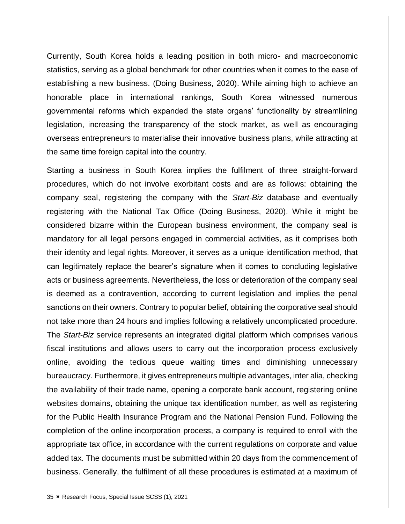Currently, South Korea holds a leading position in both micro- and macroeconomic statistics, serving as a global benchmark for other countries when it comes to the ease of establishing a new business. (Doing Business, 2020). While aiming high to achieve an honorable place in international rankings, South Korea witnessed numerous governmental reforms which expanded the state organs' functionality by streamlining legislation, increasing the transparency of the stock market, as well as encouraging overseas entrepreneurs to materialise their innovative business plans, while attracting at the same time foreign capital into the country.

Starting a business in South Korea implies the fulfilment of three straight-forward procedures, which do not involve exorbitant costs and are as follows: obtaining the company seal, registering the company with the *Start-Biz* database and eventually registering with the National Tax Office (Doing Business, 2020). While it might be considered bizarre within the European business environment, the company seal is mandatory for all legal persons engaged in commercial activities, as it comprises both their identity and legal rights. Moreover, it serves as a unique identification method, that can legitimately replace the bearer's signature when it comes to concluding legislative acts or business agreements. Nevertheless, the loss or deterioration of the company seal is deemed as a contravention, according to current legislation and implies the penal sanctions on their owners. Contrary to popular belief, obtaining the corporative seal should not take more than 24 hours and implies following a relatively uncomplicated procedure. The *Start-Biz* service represents an integrated digital platform which comprises various fiscal institutions and allows users to carry out the incorporation process exclusively online, avoiding the tedious queue waiting times and diminishing unnecessary bureaucracy. Furthermore, it gives entrepreneurs multiple advantages, inter alia, checking the availability of their trade name, opening a corporate bank account, registering online websites domains, obtaining the unique tax identification number, as well as registering for the Public Health Insurance Program and the National Pension Fund. Following the completion of the online incorporation process, a company is required to enroll with the appropriate tax office, in accordance with the current regulations on corporate and value added tax. The documents must be submitted within 20 days from the commencement of business. Generally, the fulfilment of all these procedures is estimated at a maximum of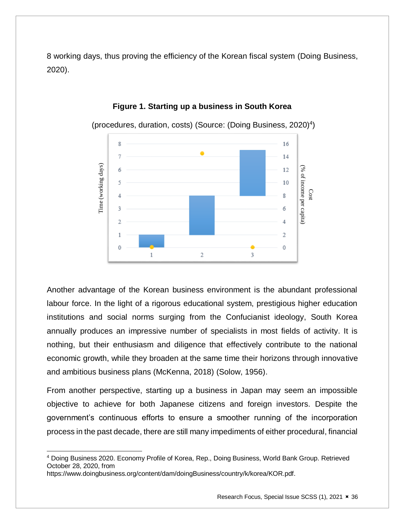8 working days, thus proving the efficiency of the Korean fiscal system (Doing Business, 2020).



#### **Figure 1. Starting up a business in South Korea**

Another advantage of the Korean business environment is the abundant professional labour force. In the light of a rigorous educational system, prestigious higher education institutions and social norms surging from the Confucianist ideology, South Korea annually produces an impressive number of specialists in most fields of activity. It is nothing, but their enthusiasm and diligence that effectively contribute to the national economic growth, while they broaden at the same time their horizons through innovative and ambitious business plans (McKenna, 2018) (Solow, 1956).

From another perspective, starting up a business in Japan may seem an impossible objective to achieve for both Japanese citizens and foreign investors. Despite the government's continuous efforts to ensure a smoother running of the incorporation process in the past decade, there are still many impediments of either procedural, financial

 <sup>4</sup> Doing Business 2020. Economy Profile of Korea, Rep., Doing Business, World Bank Group. Retrieved October 28, 2020, from https://www.doingbusiness.org/content/dam/doingBusiness/country/k/korea/KOR.pdf.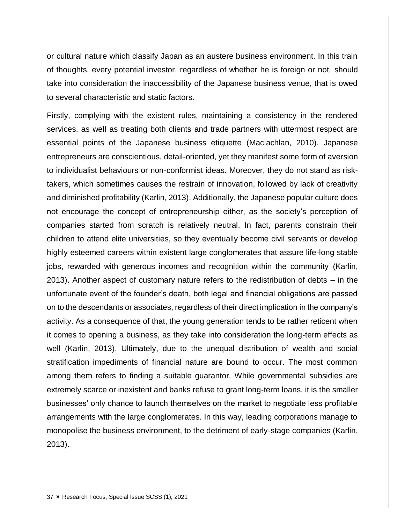or cultural nature which classify Japan as an austere business environment. In this train of thoughts, every potential investor, regardless of whether he is foreign or not, should take into consideration the inaccessibility of the Japanese business venue, that is owed to several characteristic and static factors.

Firstly, complying with the existent rules, maintaining a consistency in the rendered services, as well as treating both clients and trade partners with uttermost respect are essential points of the Japanese business etiquette (Maclachlan, 2010). Japanese entrepreneurs are conscientious, detail-oriented, yet they manifest some form of aversion to individualist behaviours or non-conformist ideas. Moreover, they do not stand as risktakers, which sometimes causes the restrain of innovation, followed by lack of creativity and diminished profitability (Karlin, 2013). Additionally, the Japanese popular culture does not encourage the concept of entrepreneurship either, as the society's perception of companies started from scratch is relatively neutral. In fact, parents constrain their children to attend elite universities, so they eventually become civil servants or develop highly esteemed careers within existent large conglomerates that assure life-long stable jobs, rewarded with generous incomes and recognition within the community (Karlin, 2013). Another aspect of customary nature refers to the redistribution of debts – in the unfortunate event of the founder's death, both legal and financial obligations are passed on to the descendants or associates, regardless of their direct implication in the company's activity. As a consequence of that, the young generation tends to be rather reticent when it comes to opening a business, as they take into consideration the long-term effects as well (Karlin, 2013). Ultimately, due to the unequal distribution of wealth and social stratification impediments of financial nature are bound to occur. The most common among them refers to finding a suitable guarantor. While governmental subsidies are extremely scarce or inexistent and banks refuse to grant long-term loans, it is the smaller businesses' only chance to launch themselves on the market to negotiate less profitable arrangements with the large conglomerates. In this way, leading corporations manage to monopolise the business environment, to the detriment of early-stage companies (Karlin, 2013).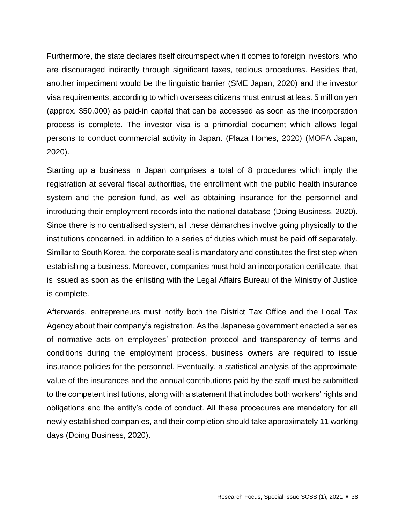Furthermore, the state declares itself circumspect when it comes to foreign investors, who are discouraged indirectly through significant taxes, tedious procedures. Besides that, another impediment would be the linguistic barrier (SME Japan, 2020) and the investor visa requirements, according to which overseas citizens must entrust at least 5 million yen (approx. \$50,000) as paid-in capital that can be accessed as soon as the incorporation process is complete. The investor visa is a primordial document which allows legal persons to conduct commercial activity in Japan. (Plaza Homes, 2020) (MOFA Japan, 2020).

Starting up a business in Japan comprises a total of 8 procedures which imply the registration at several fiscal authorities, the enrollment with the public health insurance system and the pension fund, as well as obtaining insurance for the personnel and introducing their employment records into the national database (Doing Business, 2020). Since there is no centralised system, all these démarches involve going physically to the institutions concerned, in addition to a series of duties which must be paid off separately. Similar to South Korea, the corporate seal is mandatory and constitutes the first step when establishing a business. Moreover, companies must hold an incorporation certificate, that is issued as soon as the enlisting with the Legal Affairs Bureau of the Ministry of Justice is complete.

Afterwards, entrepreneurs must notify both the District Tax Office and the Local Tax Agency about their company's registration. As the Japanese government enacted a series of normative acts on employees' protection protocol and transparency of terms and conditions during the employment process, business owners are required to issue insurance policies for the personnel. Eventually, a statistical analysis of the approximate value of the insurances and the annual contributions paid by the staff must be submitted to the competent institutions, along with a statement that includes both workers' rights and obligations and the entity's code of conduct. All these procedures are mandatory for all newly established companies, and their completion should take approximately 11 working days (Doing Business, 2020).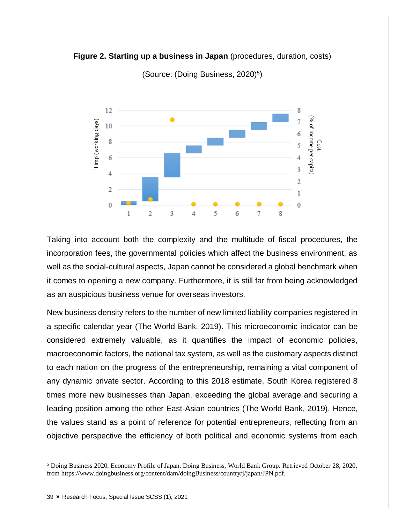

**Figure 2. Starting up a business in Japan** (procedures, duration, costs)

(Source: (Doing Business, 2020)<sup>5</sup>)

Taking into account both the complexity and the multitude of fiscal procedures, the incorporation fees, the governmental policies which affect the business environment, as well as the social-cultural aspects, Japan cannot be considered a global benchmark when it comes to opening a new company. Furthermore, it is still far from being acknowledged as an auspicious business venue for overseas investors.

New business density refers to the number of new limited liability companies registered in a specific calendar year (The World Bank, 2019). This microeconomic indicator can be considered extremely valuable, as it quantifies the impact of economic policies, macroeconomic factors, the national tax system, as well as the customary aspects distinct to each nation on the progress of the entrepreneurship, remaining a vital component of any dynamic private sector. According to this 2018 estimate, South Korea registered 8 times more new businesses than Japan, exceeding the global average and securing a leading position among the other East-Asian countries (The World Bank, 2019). Hence, the values stand as a point of reference for potential entrepreneurs, reflecting from an objective perspective the efficiency of both political and economic systems from each

 $\overline{a}$ 

<sup>5</sup> Doing Business 2020. Economy Profile of Japan. Doing Business, World Bank Group. Retrieved October 28, 2020, from https://www.doingbusiness.org/content/dam/doingBusiness/country/j/japan/JPN.pdf.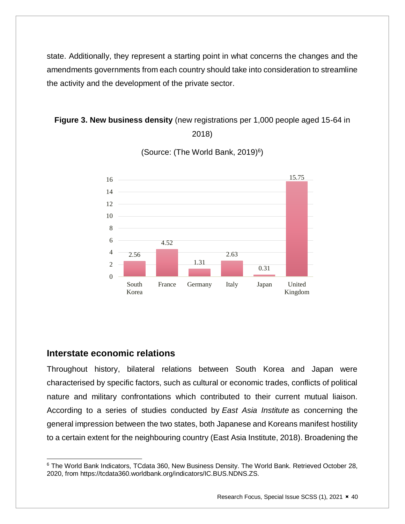state. Additionally, they represent a starting point in what concerns the changes and the amendments governments from each country should take into consideration to streamline the activity and the development of the private sector.

## **Figure 3. New business density** (new registrations per 1,000 people aged 15-64 in 2018)



(Source: (The World Bank, 2019)<sup>6</sup>)

## **Interstate economic relations**

 $\overline{a}$ 

Throughout history, bilateral relations between South Korea and Japan were characterised by specific factors, such as cultural or economic trades, conflicts of political nature and military confrontations which contributed to their current mutual liaison. According to a series of studies conducted by *East Asia Institute* as concerning the general impression between the two states, both Japanese and Koreans manifest hostility to a certain extent for the neighbouring country (East Asia Institute, 2018). Broadening the

<sup>&</sup>lt;sup>6</sup> The World Bank Indicators, TCdata 360, New Business Density. The World Bank. Retrieved October 28, 2020, from https://tcdata360.worldbank.org/indicators/IC.BUS.NDNS.ZS.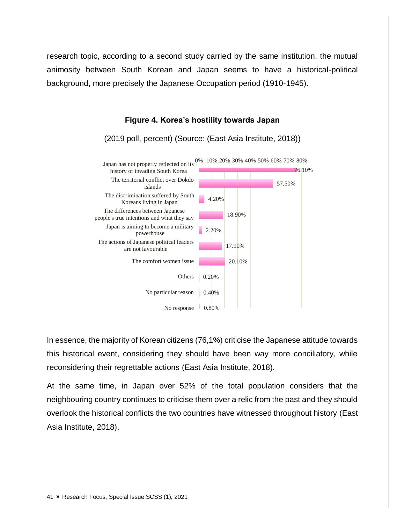research topic, according to a second study carried by the same institution, the mutual animosity between South Korean and Japan seems to have a historical-political background, more precisely the Japanese Occupation period (1910-1945).



(2019 poll, percent) (Source: (East Asia Institute, 2018))

**Figure 4. Korea's hostility towards Japan**

In essence, the majority of Korean citizens (76,1%) criticise the Japanese attitude towards this historical event, considering they should have been way more conciliatory, while reconsidering their regrettable actions (East Asia Institute, 2018).

At the same time, in Japan over 52% of the total population considers that the neighbouring country continues to criticise them over a relic from the past and they should overlook the historical conflicts the two countries have witnessed throughout history (East Asia Institute, 2018).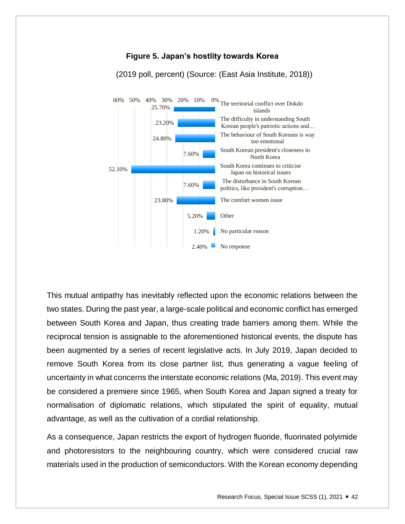

#### **Figure 5. Japan's hostlity towards Korea**

(2019 poll, percent) (Source: (East Asia Institute, 2018))

This mutual antipathy has inevitably reflected upon the economic relations between the two states. During the past year, a large-scale political and economic conflict has emerged between South Korea and Japan, thus creating trade barriers among them. While the reciprocal tension is assignable to the aforementioned historical events, the dispute has been augmented by a series of recent legislative acts. In July 2019, Japan decided to remove South Korea from its close partner list, thus generating a vague feeling of uncertainty in what concerns the interstate economic relations (Ma, 2019). This event may be considered a premiere since 1965, when South Korea and Japan signed a treaty for normalisation of diplomatic relations, which stipulated the spirit of equality, mutual advantage, as well as the cultivation of a cordial relationship.

As a consequence, Japan restricts the export of hydrogen fluoride, fluorinated polyimide and photoresistors to the neighbouring country, which were considered crucial raw materials used in the production of semiconductors. With the Korean economy depending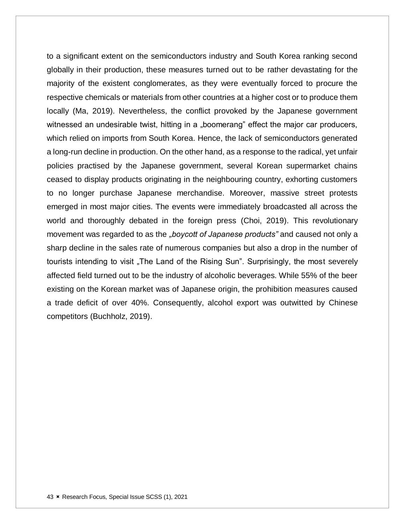to a significant extent on the semiconductors industry and South Korea ranking second globally in their production, these measures turned out to be rather devastating for the majority of the existent conglomerates, as they were eventually forced to procure the respective chemicals or materials from other countries at a higher cost or to produce them locally (Ma, 2019). Nevertheless, the conflict provoked by the Japanese government witnessed an undesirable twist, hitting in a "boomerang" effect the major car producers, which relied on imports from South Korea. Hence, the lack of semiconductors generated a long-run decline in production. On the other hand, as a response to the radical, yet unfair policies practised by the Japanese government, several Korean supermarket chains ceased to display products originating in the neighbouring country, exhorting customers to no longer purchase Japanese merchandise. Moreover, massive street protests emerged in most major cities. The events were immediately broadcasted all across the world and thoroughly debated in the foreign press (Choi, 2019). This revolutionary movement was regarded to as the *"boycott of Japanese products"* and caused not only a sharp decline in the sales rate of numerous companies but also a drop in the number of tourists intending to visit "The Land of the Rising Sun". Surprisingly, the most severely affected field turned out to be the industry of alcoholic beverages. While 55% of the beer existing on the Korean market was of Japanese origin, the prohibition measures caused a trade deficit of over 40%. Consequently, alcohol export was outwitted by Chinese competitors (Buchholz, 2019).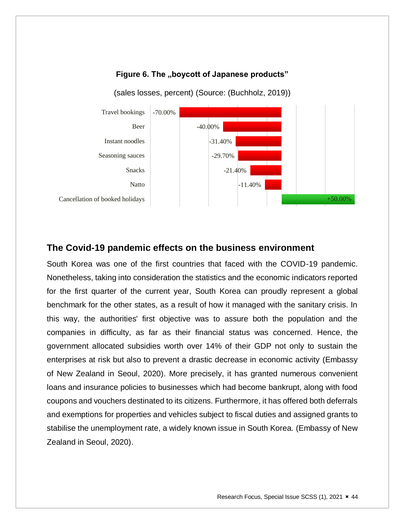

**Figure 6. The "boycott of Japanese products"** 



## **The Covid-19 pandemic effects on the business environment**

South Korea was one of the first countries that faced with the COVID-19 pandemic. Nonetheless, taking into consideration the statistics and the economic indicators reported for the first quarter of the current year, South Korea can proudly represent a global benchmark for the other states, as a result of how it managed with the sanitary crisis. In this way, the authorities' first objective was to assure both the population and the companies in difficulty, as far as their financial status was concerned. Hence, the government allocated subsidies worth over 14% of their GDP not only to sustain the enterprises at risk but also to prevent a drastic decrease in economic activity (Embassy of New Zealand in Seoul, 2020). More precisely, it has granted numerous convenient loans and insurance policies to businesses which had become bankrupt, along with food coupons and vouchers destinated to its citizens. Furthermore, it has offered both deferrals and exemptions for properties and vehicles subject to fiscal duties and assigned grants to stabilise the unemployment rate, a widely known issue in South Korea. (Embassy of New Zealand in Seoul, 2020).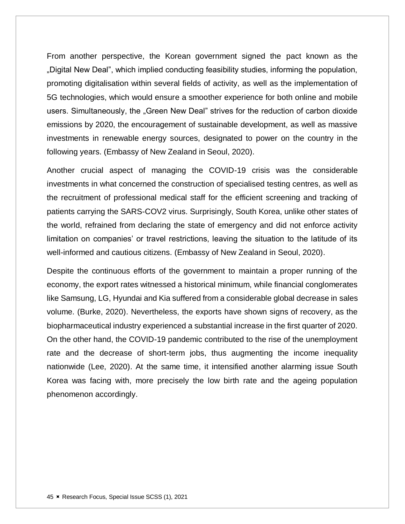From another perspective, the Korean government signed the pact known as the "Digital New Deal", which implied conducting feasibility studies, informing the population, promoting digitalisation within several fields of activity, as well as the implementation of 5G technologies, which would ensure a smoother experience for both online and mobile users. Simultaneously, the "Green New Deal" strives for the reduction of carbon dioxide emissions by 2020, the encouragement of sustainable development, as well as massive investments in renewable energy sources, designated to power on the country in the following years. (Embassy of New Zealand in Seoul, 2020).

Another crucial aspect of managing the COVID-19 crisis was the considerable investments in what concerned the construction of specialised testing centres, as well as the recruitment of professional medical staff for the efficient screening and tracking of patients carrying the SARS-COV2 virus. Surprisingly, South Korea, unlike other states of the world, refrained from declaring the state of emergency and did not enforce activity limitation on companies' or travel restrictions, leaving the situation to the latitude of its well-informed and cautious citizens. (Embassy of New Zealand in Seoul, 2020).

Despite the continuous efforts of the government to maintain a proper running of the economy, the export rates witnessed a historical minimum, while financial conglomerates like Samsung, LG, Hyundai and Kia suffered from a considerable global decrease in sales volume. (Burke, 2020). Nevertheless, the exports have shown signs of recovery, as the biopharmaceutical industry experienced a substantial increase in the first quarter of 2020. On the other hand, the COVID-19 pandemic contributed to the rise of the unemployment rate and the decrease of short-term jobs, thus augmenting the income inequality nationwide (Lee, 2020). At the same time, it intensified another alarming issue South Korea was facing with, more precisely the low birth rate and the ageing population phenomenon accordingly.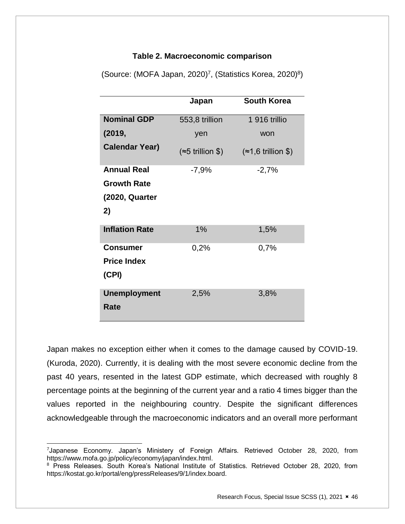#### **Table 2. Macroeconomic comparison**

|                                    | Japan                     | <b>South Korea</b>   |
|------------------------------------|---------------------------|----------------------|
| <b>Nominal GDP</b>                 | 553,8 trillion            | 1 916 trillio        |
| (2019,                             | yen                       | won                  |
| <b>Calendar Year)</b>              | $(\approx 5$ trillion \$) | $(*1,6$ trillion \$) |
| <b>Annual Real</b>                 | $-7,9%$                   | $-2,7%$              |
| <b>Growth Rate</b>                 |                           |                      |
| (2020, Quarter                     |                           |                      |
| 2)                                 |                           |                      |
| <b>Inflation Rate</b>              | 1%                        | 1,5%                 |
| <b>Consumer</b>                    | 0,2%                      | 0,7%                 |
| <b>Price Index</b>                 |                           |                      |
| (CPI)                              |                           |                      |
| <b>Unemployment</b><br><b>Rate</b> | 2,5%                      | 3,8%                 |
|                                    |                           |                      |

(Source: (MOFA Japan, 2020)<sup>7</sup>, (Statistics Korea, 2020)<sup>8</sup>)

Japan makes no exception either when it comes to the damage caused by COVID-19. (Kuroda, 2020). Currently, it is dealing with the most severe economic decline from the past 40 years, resented in the latest GDP estimate, which decreased with roughly 8 percentage points at the beginning of the current year and a ratio 4 times bigger than the values reported in the neighbouring country. Despite the significant differences acknowledgeable through the macroeconomic indicators and an overall more performant

<sup>&</sup>lt;sup>7</sup>Japanese Economy. Japan's Ministery of Foreign Affairs. Retrieved October 28, 2020, from https://www.mofa.go.jp/policy/economy/japan/index.html.

<sup>&</sup>lt;sup>8</sup> Press Releases. South Korea's National Institute of Statistics. Retrieved October 28, 2020, from https://kostat.go.kr/portal/eng/pressReleases/9/1/index.board.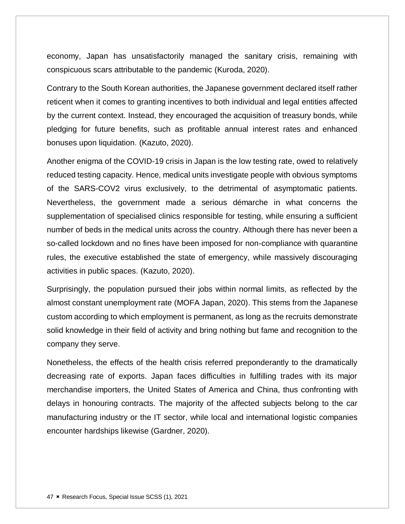economy, Japan has unsatisfactorily managed the sanitary crisis, remaining with conspicuous scars attributable to the pandemic (Kuroda, 2020).

Contrary to the South Korean authorities, the Japanese government declared itself rather reticent when it comes to granting incentives to both individual and legal entities affected by the current context. Instead, they encouraged the acquisition of treasury bonds, while pledging for future benefits, such as profitable annual interest rates and enhanced bonuses upon liquidation. (Kazuto, 2020).

Another enigma of the COVID-19 crisis in Japan is the low testing rate, owed to relatively reduced testing capacity. Hence, medical units investigate people with obvious symptoms of the SARS-COV2 virus exclusively, to the detrimental of asymptomatic patients. Nevertheless, the government made a serious démarche in what concerns the supplementation of specialised clinics responsible for testing, while ensuring a sufficient number of beds in the medical units across the country. Although there has never been a so-called lockdown and no fines have been imposed for non-compliance with quarantine rules, the executive established the state of emergency, while massively discouraging activities in public spaces. (Kazuto, 2020).

Surprisingly, the population pursued their jobs within normal limits, as reflected by the almost constant unemployment rate (MOFA Japan, 2020). This stems from the Japanese custom according to which employment is permanent, as long as the recruits demonstrate solid knowledge in their field of activity and bring nothing but fame and recognition to the company they serve.

Nonetheless, the effects of the health crisis referred preponderantly to the dramatically decreasing rate of exports. Japan faces difficulties in fulfilling trades with its major merchandise importers, the United States of America and China, thus confronting with delays in honouring contracts. The majority of the affected subjects belong to the car manufacturing industry or the IT sector, while local and international logistic companies encounter hardships likewise (Gardner, 2020).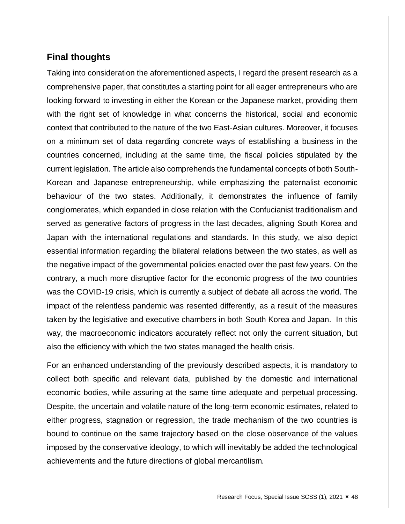## **Final thoughts**

Taking into consideration the aforementioned aspects, I regard the present research as a comprehensive paper, that constitutes a starting point for all eager entrepreneurs who are looking forward to investing in either the Korean or the Japanese market, providing them with the right set of knowledge in what concerns the historical, social and economic context that contributed to the nature of the two East-Asian cultures. Moreover, it focuses on a minimum set of data regarding concrete ways of establishing a business in the countries concerned, including at the same time, the fiscal policies stipulated by the current legislation. The article also comprehends the fundamental concepts of both South-Korean and Japanese entrepreneurship, while emphasizing the paternalist economic behaviour of the two states. Additionally, it demonstrates the influence of family conglomerates, which expanded in close relation with the Confucianist traditionalism and served as generative factors of progress in the last decades, aligning South Korea and Japan with the international regulations and standards. In this study, we also depict essential information regarding the bilateral relations between the two states, as well as the negative impact of the governmental policies enacted over the past few years. On the contrary, a much more disruptive factor for the economic progress of the two countries was the COVID-19 crisis, which is currently a subject of debate all across the world. The impact of the relentless pandemic was resented differently, as a result of the measures taken by the legislative and executive chambers in both South Korea and Japan. In this way, the macroeconomic indicators accurately reflect not only the current situation, but also the efficiency with which the two states managed the health crisis.

For an enhanced understanding of the previously described aspects, it is mandatory to collect both specific and relevant data, published by the domestic and international economic bodies, while assuring at the same time adequate and perpetual processing. Despite, the uncertain and volatile nature of the long-term economic estimates, related to either progress, stagnation or regression, the trade mechanism of the two countries is bound to continue on the same trajectory based on the close observance of the values imposed by the conservative ideology, to which will inevitably be added the technological achievements and the future directions of global mercantilism.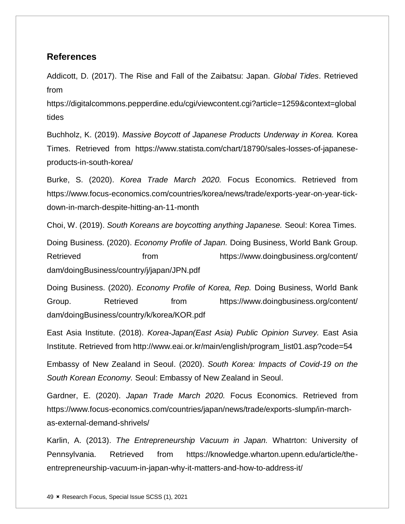## **References**

Addicott, D. (2017). The Rise and Fall of the Zaibatsu: Japan. *Global Tides*. Retrieved from

https://digitalcommons.pepperdine.edu/cgi/viewcontent.cgi?article=1259&context=global tides

Buchholz, K. (2019). *Massive Boycott of Japanese Products Underway in Korea.* Korea Times. Retrieved from https://www.statista.com/chart/18790/sales-losses-of-japaneseproducts-in-south-korea/

Burke, S. (2020). *Korea Trade March 2020.* Focus Economics. Retrieved from https://www.focus-economics.com/countries/korea/news/trade/exports-year-on-year-tickdown-in-march-despite-hitting-an-11-month

Choi, W. (2019). *South Koreans are boycotting anything Japanese.* Seoul: Korea Times.

Doing Business. (2020). *Economy Profile of Japan.* Doing Business, World Bank Group. Retrieved from from https://www.doingbusiness.org/content/ dam/doingBusiness/country/j/japan/JPN.pdf

Doing Business. (2020). *Economy Profile of Korea, Rep.* Doing Business, World Bank Group. Retrieved from https://www.doingbusiness.org/content/ dam/doingBusiness/country/k/korea/KOR.pdf

East Asia Institute. (2018). *Korea-Japan(East Asia) Public Opinion Survey.* East Asia Institute. Retrieved from http://www.eai.or.kr/main/english/program\_list01.asp?code=54

Embassy of New Zealand in Seoul. (2020). *South Korea: Impacts of Covid-19 on the South Korean Economy.* Seoul: Embassy of New Zealand in Seoul.

Gardner, E. (2020). *Japan Trade March 2020.* Focus Economics. Retrieved from https://www.focus-economics.com/countries/japan/news/trade/exports-slump/in-marchas-external-demand-shrivels/

Karlin, A. (2013). *The Entrepreneurship Vacuum in Japan.* Whatrton: University of Pennsylvania. Retrieved from https://knowledge.wharton.upenn.edu/article/theentrepreneurship-vacuum-in-japan-why-it-matters-and-how-to-address-it/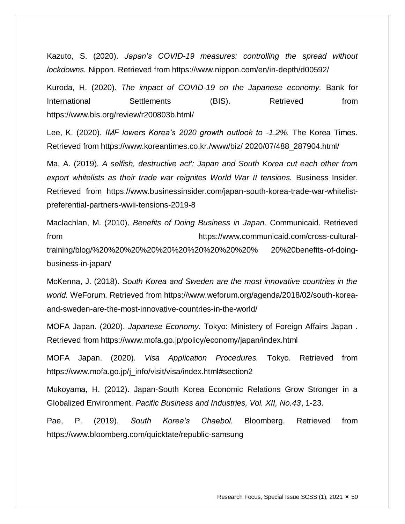Kazuto, S. (2020). *Japan's COVID-19 measures: controlling the spread without lockdowns.* Nippon. Retrieved from https://www.nippon.com/en/in-depth/d00592/

Kuroda, H. (2020). *The impact of COVID-19 on the Japanese economy.* Bank for International Settlements (BIS). Retrieved from https://www.bis.org/review/r200803b.html/

Lee, K. (2020). *IMF lowers Korea's 2020 growth outlook to -1.2%.* The Korea Times. Retrieved from https://www.koreantimes.co.kr./www/biz/ 2020/07/488\_287904.html/

Ma, A. (2019). *A selfish, destructive act': Japan and South Korea cut each other from export whitelists as their trade war reignites World War II tensions.* Business Insider. Retrieved from https://www.businessinsider.com/japan-south-korea-trade-war-whitelistpreferential-partners-wwii-tensions-2019-8

Maclachlan, M. (2010). *Benefits of Doing Business in Japan.* Communicaid. Retrieved from https://www.communicaid.com/cross-culturaltraining/blog/%20%20%20%20%20%20%20%20%20%20% 20%20benefits-of-doingbusiness-in-japan/

McKenna, J. (2018). *South Korea and Sweden are the most innovative countries in the world.* WeForum. Retrieved from https://www.weforum.org/agenda/2018/02/south-koreaand-sweden-are-the-most-innovative-countries-in-the-world/

MOFA Japan. (2020). *Japanese Economy.* Tokyo: Ministery of Foreign Affairs Japan . Retrieved from https://www.mofa.go.jp/policy/economy/japan/index.html

MOFA Japan. (2020). *Visa Application Procedures.* Tokyo. Retrieved from https://www.mofa.go.jp/j\_info/visit/visa/index.html#section2

Mukoyama, H. (2012). Japan-South Korea Economic Relations Grow Stronger in a Globalized Environment. *Pacific Business and Industries, Vol. XII, No.43*, 1-23.

Pae, P. (2019). *South Korea's Chaebol.* Bloomberg. Retrieved from https://www.bloomberg.com/quicktate/republic-samsung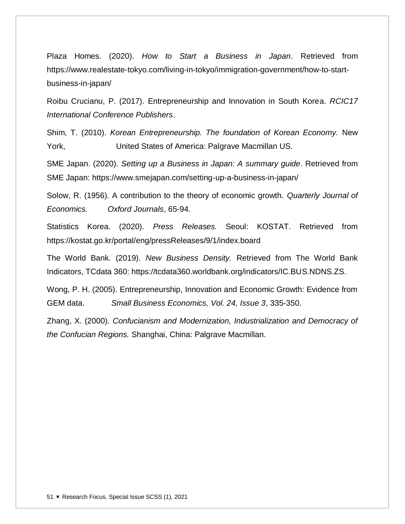Plaza Homes. (2020). *How to Start a Business in Japan*. Retrieved from https://www.realestate-tokyo.com/living-in-tokyo/immigration-government/how-to-startbusiness-in-japan/

Roibu Crucianu, P. (2017). Entrepreneurship and Innovation in South Korea. *RCIC17 International Conference Publishers*.

Shim, T. (2010). *Korean Entrepreneurship. The foundation of Korean Economy.* New York, United States of America: Palgrave Macmillan US.

SME Japan. (2020). *Setting up a Business in Japan: A summary guide*. Retrieved from SME Japan: https://www.smejapan.com/setting-up-a-business-in-japan/

Solow, R. (1956). A contribution to the theory of economic growth. *Quarterly Journal of Economics. Oxford Journals*, 65-94.

Statistics Korea. (2020). *Press Releases.* Seoul: KOSTAT. Retrieved from https://kostat.go.kr/portal/eng/pressReleases/9/1/index.board

The World Bank. (2019). *New Business Density.* Retrieved from The World Bank Indicators, TCdata 360: https://tcdata360.worldbank.org/indicators/IC.BUS.NDNS.ZS.

Wong, P. H. (2005). Entrepreneurship, Innovation and Economic Growth: Evidence from GEM data. *Small Business Economics, Vol. 24, Issue 3*, 335-350.

Zhang, X. (2000). *Confucianism and Modernization, Industrialization and Democracy of the Confucian Regions.* Shanghai, China: Palgrave Macmillan.